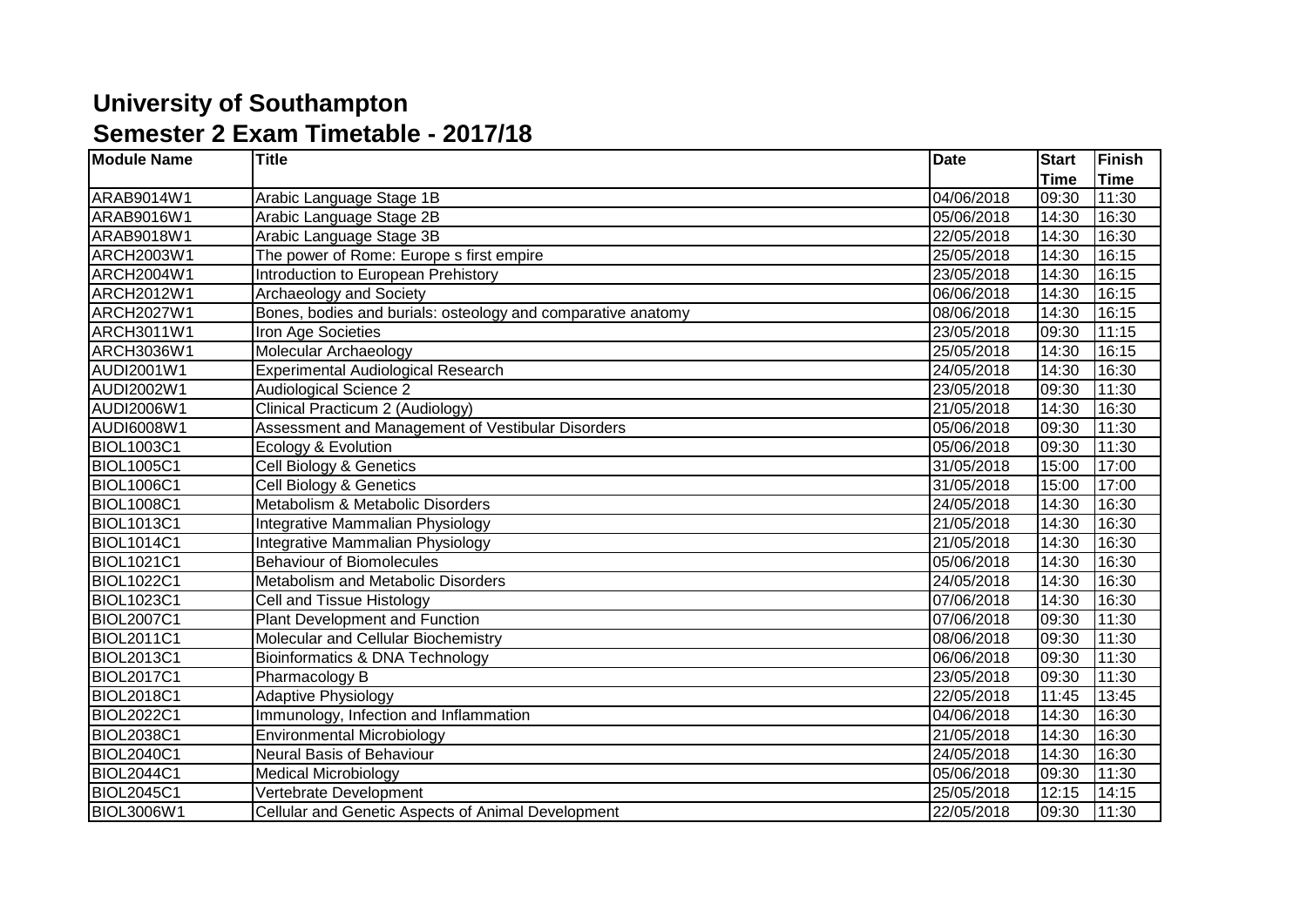## **University of Southampton Semester 2 Exam Timetable - 2017/18**

| <b>Module Name</b> | <b>Title</b>                                                 | <b>Date</b> | <b>Start</b> | Finish      |
|--------------------|--------------------------------------------------------------|-------------|--------------|-------------|
|                    |                                                              |             | <b>Time</b>  | <b>Time</b> |
| ARAB9014W1         | Arabic Language Stage 1B                                     | 04/06/2018  | 09:30        | 11:30       |
| ARAB9016W1         | Arabic Language Stage 2B                                     | 05/06/2018  | 14:30        | 16:30       |
| ARAB9018W1         | Arabic Language Stage 3B                                     | 22/05/2018  | 14:30        | 16:30       |
| <b>ARCH2003W1</b>  | The power of Rome: Europe s first empire                     | 25/05/2018  | 14:30        | 16:15       |
| ARCH2004W1         | Introduction to European Prehistory                          | 23/05/2018  | 14:30        | 16:15       |
| ARCH2012W1         | Archaeology and Society                                      | 06/06/2018  | 14:30        | 16:15       |
| <b>ARCH2027W1</b>  | Bones, bodies and burials: osteology and comparative anatomy | 08/06/2018  | 14:30        | 16:15       |
| ARCH3011W1         | Iron Age Societies                                           | 23/05/2018  | 09:30        | 11:15       |
| ARCH3036W1         | Molecular Archaeology                                        | 25/05/2018  | 14:30        | 16:15       |
| AUDI2001W1         | <b>Experimental Audiological Research</b>                    | 24/05/2018  | 14:30        | 16:30       |
| AUDI2002W1         | <b>Audiological Science 2</b>                                | 23/05/2018  | 09:30        | 11:30       |
| AUDI2006W1         | Clinical Practicum 2 (Audiology)                             | 21/05/2018  | 14:30        | 16:30       |
| AUDI6008W1         | Assessment and Management of Vestibular Disorders            | 05/06/2018  | 09:30        | 11:30       |
| <b>BIOL1003C1</b>  | Ecology & Evolution                                          | 05/06/2018  | 09:30        | 11:30       |
| <b>BIOL1005C1</b>  | Cell Biology & Genetics                                      | 31/05/2018  | 15:00        | 17:00       |
| <b>BIOL1006C1</b>  | Cell Biology & Genetics                                      | 31/05/2018  | 15:00        | 17:00       |
| <b>BIOL1008C1</b>  | Metabolism & Metabolic Disorders                             | 24/05/2018  | 14:30        | 16:30       |
| <b>BIOL1013C1</b>  | Integrative Mammalian Physiology                             | 21/05/2018  | 14:30        | 16:30       |
| <b>BIOL1014C1</b>  | Integrative Mammalian Physiology                             | 21/05/2018  | 14:30        | 16:30       |
| <b>BIOL1021C1</b>  | <b>Behaviour of Biomolecules</b>                             | 05/06/2018  | 14:30        | 16:30       |
| <b>BIOL1022C1</b>  | Metabolism and Metabolic Disorders                           | 24/05/2018  | 14:30        | 16:30       |
| <b>BIOL1023C1</b>  | Cell and Tissue Histology                                    | 07/06/2018  | 14:30        | 16:30       |
| <b>BIOL2007C1</b>  | <b>Plant Development and Function</b>                        | 07/06/2018  | 09:30        | 11:30       |
| <b>BIOL2011C1</b>  | Molecular and Cellular Biochemistry                          | 08/06/2018  | 09:30        | 11:30       |
| <b>BIOL2013C1</b>  | Bioinformatics & DNA Technology                              | 06/06/2018  | 09:30        | 11:30       |
| <b>BIOL2017C1</b>  | Pharmacology B                                               | 23/05/2018  | 09:30        | 11:30       |
| <b>BIOL2018C1</b>  | <b>Adaptive Physiology</b>                                   | 22/05/2018  | 11:45        | 13:45       |
| <b>BIOL2022C1</b>  | Immunology, Infection and Inflammation                       | 04/06/2018  | 14:30        | 16:30       |
| <b>BIOL2038C1</b>  | <b>Environmental Microbiology</b>                            | 21/05/2018  | 14:30        | 16:30       |
| <b>BIOL2040C1</b>  | Neural Basis of Behaviour                                    | 24/05/2018  | 14:30        | 16:30       |
| <b>BIOL2044C1</b>  | <b>Medical Microbiology</b>                                  | 05/06/2018  | 09:30        | 11:30       |
| <b>BIOL2045C1</b>  | Vertebrate Development                                       | 25/05/2018  | 12:15        | 14:15       |
| <b>BIOL3006W1</b>  | Cellular and Genetic Aspects of Animal Development           | 22/05/2018  | 09:30        | 11:30       |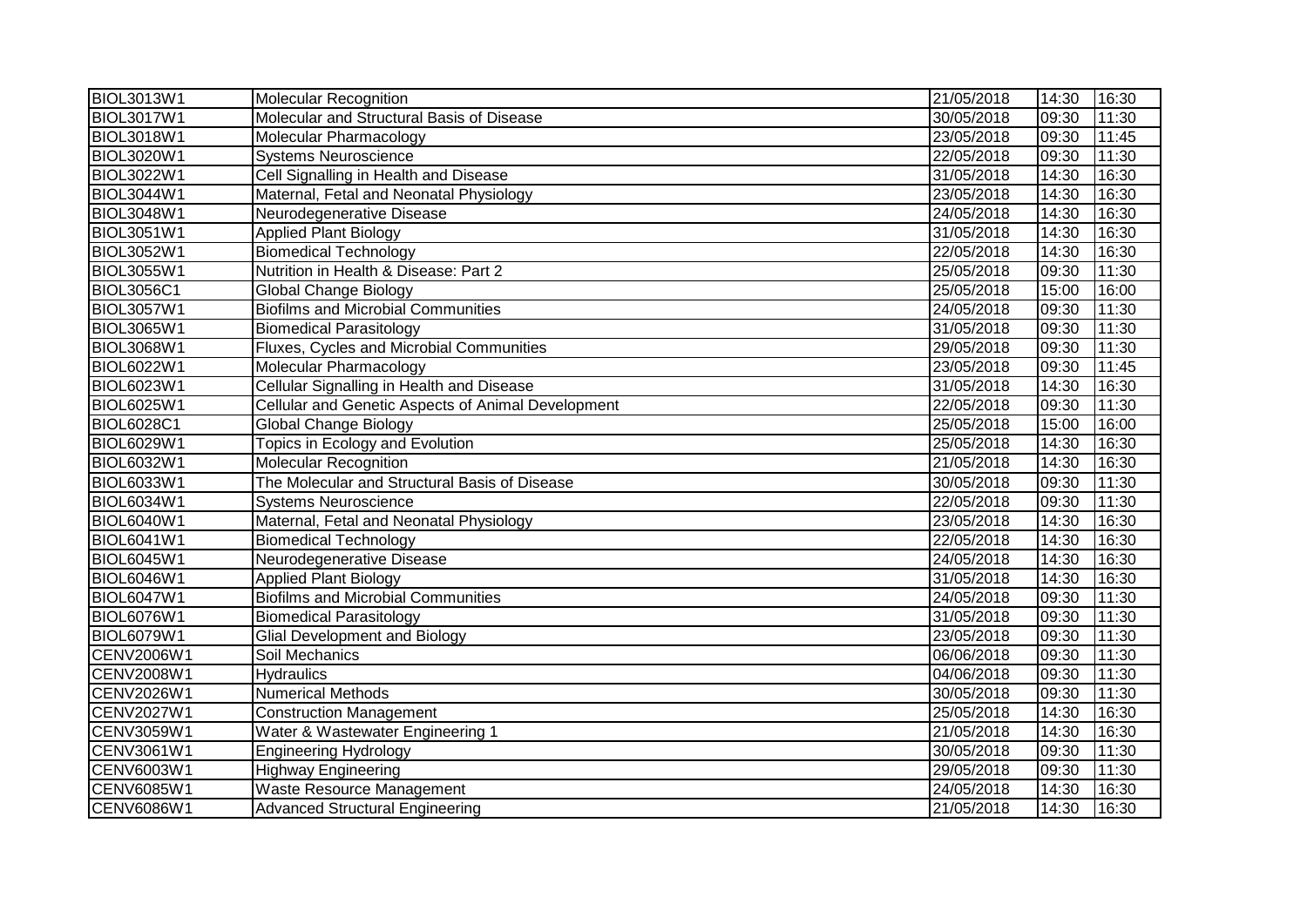| <b>BIOL3013W1</b> | <b>Molecular Recognition</b>                       | 21/05/2018 | 14:30 | 16:30 |
|-------------------|----------------------------------------------------|------------|-------|-------|
| <b>BIOL3017W1</b> | Molecular and Structural Basis of Disease          | 30/05/2018 | 09:30 | 11:30 |
| <b>BIOL3018W1</b> | Molecular Pharmacology                             | 23/05/2018 | 09:30 | 11:45 |
| <b>BIOL3020W1</b> | <b>Systems Neuroscience</b>                        | 22/05/2018 | 09:30 | 11:30 |
| <b>BIOL3022W1</b> | Cell Signalling in Health and Disease              | 31/05/2018 | 14:30 | 16:30 |
| <b>BIOL3044W1</b> | Maternal, Fetal and Neonatal Physiology            | 23/05/2018 | 14:30 | 16:30 |
| <b>BIOL3048W1</b> | Neurodegenerative Disease                          | 24/05/2018 | 14:30 | 16:30 |
| <b>BIOL3051W1</b> | <b>Applied Plant Biology</b>                       | 31/05/2018 | 14:30 | 16:30 |
| <b>BIOL3052W1</b> | <b>Biomedical Technology</b>                       | 22/05/2018 | 14:30 | 16:30 |
| <b>BIOL3055W1</b> | Nutrition in Health & Disease: Part 2              | 25/05/2018 | 09:30 | 11:30 |
| <b>BIOL3056C1</b> | <b>Global Change Biology</b>                       | 25/05/2018 | 15:00 | 16:00 |
| <b>BIOL3057W1</b> | <b>Biofilms and Microbial Communities</b>          | 24/05/2018 | 09:30 | 11:30 |
| <b>BIOL3065W1</b> | <b>Biomedical Parasitology</b>                     | 31/05/2018 | 09:30 | 11:30 |
| <b>BIOL3068W1</b> | Fluxes, Cycles and Microbial Communities           | 29/05/2018 | 09:30 | 11:30 |
| <b>BIOL6022W1</b> | Molecular Pharmacology                             | 23/05/2018 | 09:30 | 11:45 |
| <b>BIOL6023W1</b> | Cellular Signalling in Health and Disease          | 31/05/2018 | 14:30 | 16:30 |
| <b>BIOL6025W1</b> | Cellular and Genetic Aspects of Animal Development | 22/05/2018 | 09:30 | 11:30 |
| <b>BIOL6028C1</b> | Global Change Biology                              | 25/05/2018 | 15:00 | 16:00 |
| <b>BIOL6029W1</b> | Topics in Ecology and Evolution                    | 25/05/2018 | 14:30 | 16:30 |
| <b>BIOL6032W1</b> | <b>Molecular Recognition</b>                       | 21/05/2018 | 14:30 | 16:30 |
| <b>BIOL6033W1</b> | The Molecular and Structural Basis of Disease      | 30/05/2018 | 09:30 | 11:30 |
| <b>BIOL6034W1</b> | <b>Systems Neuroscience</b>                        | 22/05/2018 | 09:30 | 11:30 |
| <b>BIOL6040W1</b> | Maternal, Fetal and Neonatal Physiology            | 23/05/2018 | 14:30 | 16:30 |
| <b>BIOL6041W1</b> | <b>Biomedical Technology</b>                       | 22/05/2018 | 14:30 | 16:30 |
| <b>BIOL6045W1</b> | Neurodegenerative Disease                          | 24/05/2018 | 14:30 | 16:30 |
| <b>BIOL6046W1</b> | <b>Applied Plant Biology</b>                       | 31/05/2018 | 14:30 | 16:30 |
| <b>BIOL6047W1</b> | <b>Biofilms and Microbial Communities</b>          | 24/05/2018 | 09:30 | 11:30 |
| <b>BIOL6076W1</b> | <b>Biomedical Parasitology</b>                     | 31/05/2018 | 09:30 | 11:30 |
| <b>BIOL6079W1</b> | <b>Glial Development and Biology</b>               | 23/05/2018 | 09:30 | 11:30 |
| CENV2006W1        | Soil Mechanics                                     | 06/06/2018 | 09:30 | 11:30 |
| <b>CENV2008W1</b> | <b>Hydraulics</b>                                  | 04/06/2018 | 09:30 | 11:30 |
| CENV2026W1        | <b>Numerical Methods</b>                           | 30/05/2018 | 09:30 | 11:30 |
| <b>CENV2027W1</b> | <b>Construction Management</b>                     | 25/05/2018 | 14:30 | 16:30 |
| CENV3059W1        | Water & Wastewater Engineering 1                   | 21/05/2018 | 14:30 | 16:30 |
| CENV3061W1        | <b>Engineering Hydrology</b>                       | 30/05/2018 | 09:30 | 11:30 |
| CENV6003W1        | <b>Highway Engineering</b>                         | 29/05/2018 | 09:30 | 11:30 |
| <b>CENV6085W1</b> | <b>Waste Resource Management</b>                   | 24/05/2018 | 14:30 | 16:30 |
| <b>CENV6086W1</b> | <b>Advanced Structural Engineering</b>             | 21/05/2018 | 14:30 | 16:30 |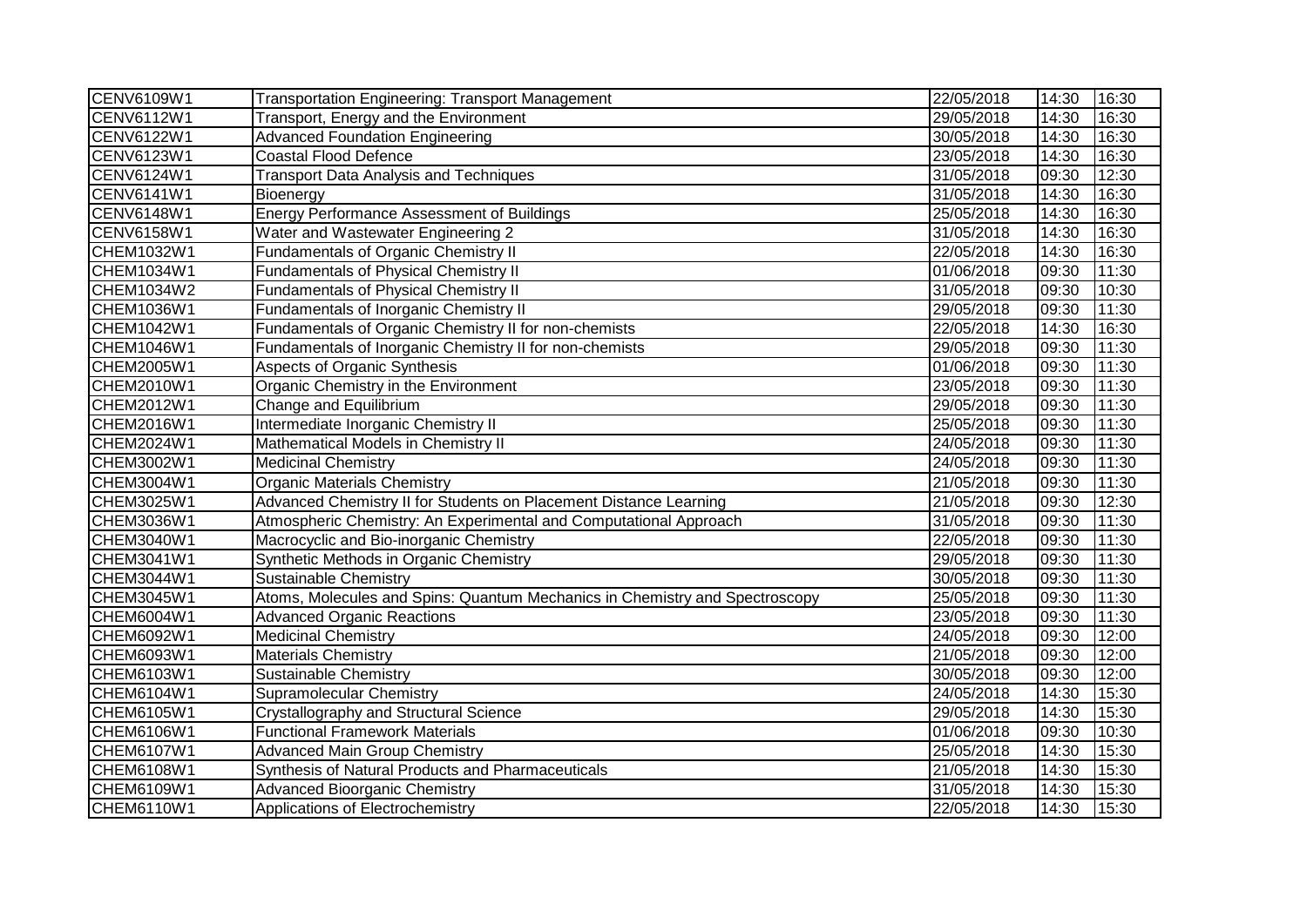| CENV6109W1        | <b>Transportation Engineering: Transport Management</b>                     | 22/05/2018 | 14:30 | 16:30 |
|-------------------|-----------------------------------------------------------------------------|------------|-------|-------|
| CENV6112W1        | Transport, Energy and the Environment                                       | 29/05/2018 | 14:30 | 16:30 |
| CENV6122W1        | <b>Advanced Foundation Engineering</b>                                      | 30/05/2018 | 14:30 | 16:30 |
| <b>CENV6123W1</b> | <b>Coastal Flood Defence</b>                                                | 23/05/2018 | 14:30 | 16:30 |
| CENV6124W1        | <b>Transport Data Analysis and Techniques</b>                               | 31/05/2018 | 09:30 | 12:30 |
| CENV6141W1        | Bioenergy                                                                   | 31/05/2018 | 14:30 | 16:30 |
| CENV6148W1        | <b>Energy Performance Assessment of Buildings</b>                           | 25/05/2018 | 14:30 | 16:30 |
| <b>CENV6158W1</b> | Water and Wastewater Engineering 2                                          | 31/05/2018 | 14:30 | 16:30 |
| CHEM1032W1        | Fundamentals of Organic Chemistry II                                        | 22/05/2018 | 14:30 | 16:30 |
| CHEM1034W1        | <b>Fundamentals of Physical Chemistry II</b>                                | 01/06/2018 | 09:30 | 11:30 |
| CHEM1034W2        | <b>Fundamentals of Physical Chemistry II</b>                                | 31/05/2018 | 09:30 | 10:30 |
| CHEM1036W1        | Fundamentals of Inorganic Chemistry II                                      | 29/05/2018 | 09:30 | 11:30 |
| CHEM1042W1        | Fundamentals of Organic Chemistry II for non-chemists                       | 22/05/2018 | 14:30 | 16:30 |
| CHEM1046W1        | Fundamentals of Inorganic Chemistry II for non-chemists                     | 29/05/2018 | 09:30 | 11:30 |
| CHEM2005W1        | <b>Aspects of Organic Synthesis</b>                                         | 01/06/2018 | 09:30 | 11:30 |
| CHEM2010W1        | Organic Chemistry in the Environment                                        | 23/05/2018 | 09:30 | 11:30 |
| CHEM2012W1        | Change and Equilibrium                                                      | 29/05/2018 | 09:30 | 11:30 |
| CHEM2016W1        | Intermediate Inorganic Chemistry II                                         | 25/05/2018 | 09:30 | 11:30 |
| CHEM2024W1        | Mathematical Models in Chemistry II                                         | 24/05/2018 | 09:30 | 11:30 |
| CHEM3002W1        | <b>Medicinal Chemistry</b>                                                  | 24/05/2018 | 09:30 | 11:30 |
| CHEM3004W1        | <b>Organic Materials Chemistry</b>                                          | 21/05/2018 | 09:30 | 11:30 |
| CHEM3025W1        | Advanced Chemistry II for Students on Placement Distance Learning           | 21/05/2018 | 09:30 | 12:30 |
| CHEM3036W1        | Atmospheric Chemistry: An Experimental and Computational Approach           | 31/05/2018 | 09:30 | 11:30 |
| CHEM3040W1        | Macrocyclic and Bio-inorganic Chemistry                                     | 22/05/2018 | 09:30 | 11:30 |
| CHEM3041W1        | Synthetic Methods in Organic Chemistry                                      | 29/05/2018 | 09:30 | 11:30 |
| CHEM3044W1        | <b>Sustainable Chemistry</b>                                                | 30/05/2018 | 09:30 | 11:30 |
| CHEM3045W1        | Atoms, Molecules and Spins: Quantum Mechanics in Chemistry and Spectroscopy | 25/05/2018 | 09:30 | 11:30 |
| CHEM6004W1        | <b>Advanced Organic Reactions</b>                                           | 23/05/2018 | 09:30 | 11:30 |
| CHEM6092W1        | <b>Medicinal Chemistry</b>                                                  | 24/05/2018 | 09:30 | 12:00 |
| CHEM6093W1        | <b>Materials Chemistry</b>                                                  | 21/05/2018 | 09:30 | 12:00 |
| CHEM6103W1        | Sustainable Chemistry                                                       | 30/05/2018 | 09:30 | 12:00 |
| CHEM6104W1        | <b>Supramolecular Chemistry</b>                                             | 24/05/2018 | 14:30 | 15:30 |
| CHEM6105W1        | Crystallography and Structural Science                                      | 29/05/2018 | 14:30 | 15:30 |
| CHEM6106W1        | <b>Functional Framework Materials</b>                                       | 01/06/2018 | 09:30 | 10:30 |
| CHEM6107W1        | <b>Advanced Main Group Chemistry</b>                                        | 25/05/2018 | 14:30 | 15:30 |
| CHEM6108W1        | Synthesis of Natural Products and Pharmaceuticals                           | 21/05/2018 | 14:30 | 15:30 |
| CHEM6109W1        | <b>Advanced Bioorganic Chemistry</b>                                        | 31/05/2018 | 14:30 | 15:30 |
| CHEM6110W1        | Applications of Electrochemistry                                            | 22/05/2018 | 14:30 | 15:30 |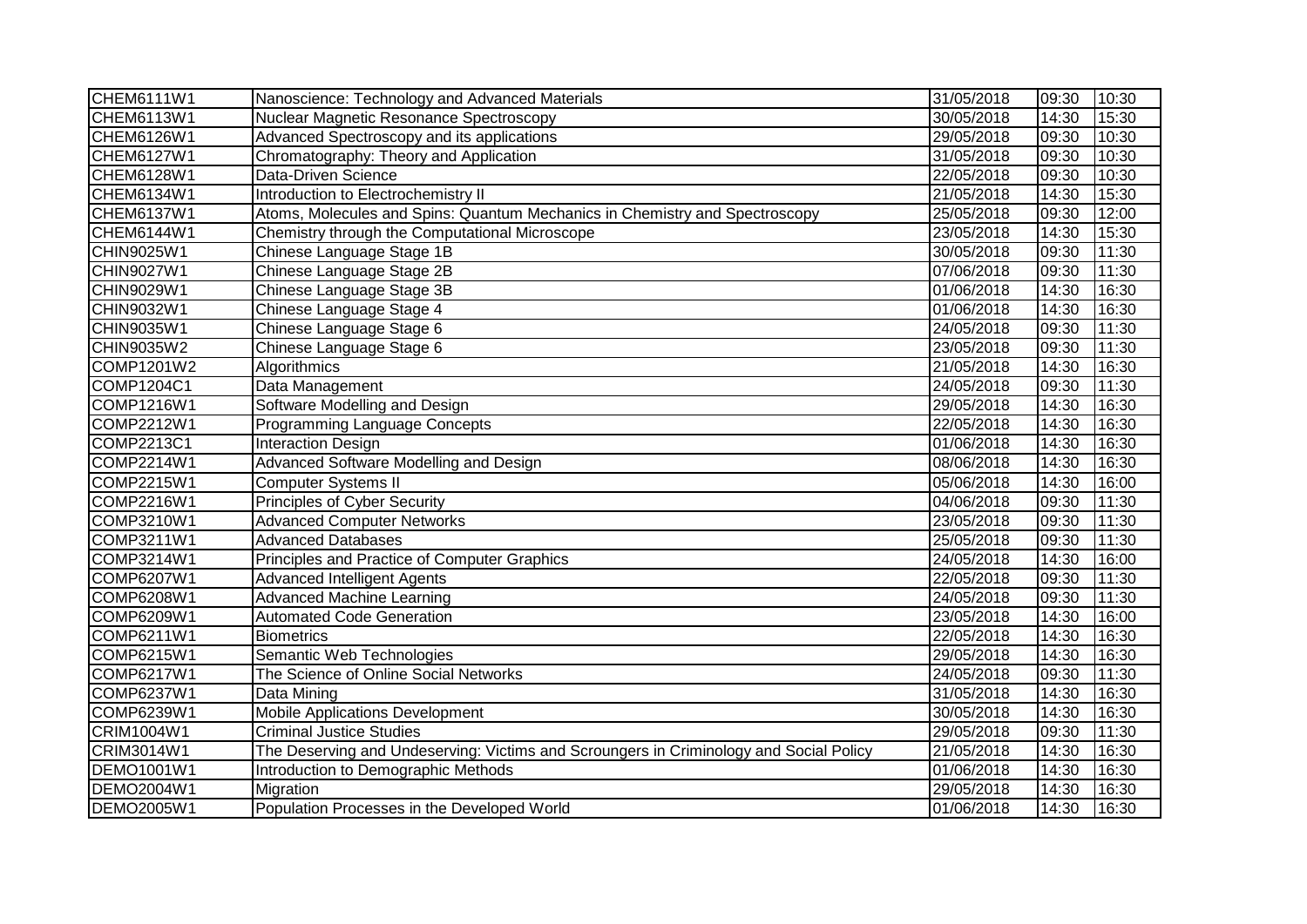| CHEM6111W1        | Nanoscience: Technology and Advanced Materials                                         | 31/05/2018 | 09:30 | 10:30 |
|-------------------|----------------------------------------------------------------------------------------|------------|-------|-------|
| CHEM6113W1        | Nuclear Magnetic Resonance Spectroscopy                                                | 30/05/2018 | 14:30 | 15:30 |
| CHEM6126W1        | Advanced Spectroscopy and its applications                                             | 29/05/2018 | 09:30 | 10:30 |
| CHEM6127W1        | Chromatography: Theory and Application                                                 | 31/05/2018 | 09:30 | 10:30 |
| CHEM6128W1        | Data-Driven Science                                                                    | 22/05/2018 | 09:30 | 10:30 |
| CHEM6134W1        | Introduction to Electrochemistry II                                                    | 21/05/2018 | 14:30 | 15:30 |
| CHEM6137W1        | Atoms, Molecules and Spins: Quantum Mechanics in Chemistry and Spectroscopy            | 25/05/2018 | 09:30 | 12:00 |
| CHEM6144W1        | Chemistry through the Computational Microscope                                         | 23/05/2018 | 14:30 | 15:30 |
| CHIN9025W1        | Chinese Language Stage 1B                                                              | 30/05/2018 | 09:30 | 11:30 |
| CHIN9027W1        | Chinese Language Stage 2B                                                              | 07/06/2018 | 09:30 | 11:30 |
| CHIN9029W1        | Chinese Language Stage 3B                                                              | 01/06/2018 | 14:30 | 16:30 |
| CHIN9032W1        | Chinese Language Stage 4                                                               | 01/06/2018 | 14:30 | 16:30 |
| CHIN9035W1        | Chinese Language Stage 6                                                               | 24/05/2018 | 09:30 | 11:30 |
| CHIN9035W2        | Chinese Language Stage 6                                                               | 23/05/2018 | 09:30 | 11:30 |
| COMP1201W2        | Algorithmics                                                                           | 21/05/2018 | 14:30 | 16:30 |
| COMP1204C1        | Data Management                                                                        | 24/05/2018 | 09:30 | 11:30 |
| COMP1216W1        | Software Modelling and Design                                                          | 29/05/2018 | 14:30 | 16:30 |
| COMP2212W1        | Programming Language Concepts                                                          | 22/05/2018 | 14:30 | 16:30 |
| COMP2213C1        | <b>Interaction Design</b>                                                              | 01/06/2018 | 14:30 | 16:30 |
| COMP2214W1        | Advanced Software Modelling and Design                                                 | 08/06/2018 | 14:30 | 16:30 |
| COMP2215W1        | <b>Computer Systems II</b>                                                             | 05/06/2018 | 14:30 | 16:00 |
| <b>COMP2216W1</b> | <b>Principles of Cyber Security</b>                                                    | 04/06/2018 | 09:30 | 11:30 |
| COMP3210W1        | <b>Advanced Computer Networks</b>                                                      | 23/05/2018 | 09:30 | 11:30 |
| COMP3211W1        | <b>Advanced Databases</b>                                                              | 25/05/2018 | 09:30 | 11:30 |
| COMP3214W1        | Principles and Practice of Computer Graphics                                           | 24/05/2018 | 14:30 | 16:00 |
| COMP6207W1        | <b>Advanced Intelligent Agents</b>                                                     | 22/05/2018 | 09:30 | 11:30 |
| COMP6208W1        | <b>Advanced Machine Learning</b>                                                       | 24/05/2018 | 09:30 | 11:30 |
| COMP6209W1        | <b>Automated Code Generation</b>                                                       | 23/05/2018 | 14:30 | 16:00 |
| COMP6211W1        | <b>Biometrics</b>                                                                      | 22/05/2018 | 14:30 | 16:30 |
| COMP6215W1        | Semantic Web Technologies                                                              | 29/05/2018 | 14:30 | 16:30 |
| COMP6217W1        | The Science of Online Social Networks                                                  | 24/05/2018 | 09:30 | 11:30 |
| COMP6237W1        | Data Mining                                                                            | 31/05/2018 | 14:30 | 16:30 |
| COMP6239W1        | Mobile Applications Development                                                        | 30/05/2018 | 14:30 | 16:30 |
| CRIM1004W1        | <b>Criminal Justice Studies</b>                                                        | 29/05/2018 | 09:30 | 11:30 |
| CRIM3014W1        | The Deserving and Undeserving: Victims and Scroungers in Criminology and Social Policy | 21/05/2018 | 14:30 | 16:30 |
| DEMO1001W1        | Introduction to Demographic Methods                                                    | 01/06/2018 | 14:30 | 16:30 |
| DEMO2004W1        | Migration                                                                              | 29/05/2018 | 14:30 | 16:30 |
| DEMO2005W1        | Population Processes in the Developed World                                            | 01/06/2018 | 14:30 | 16:30 |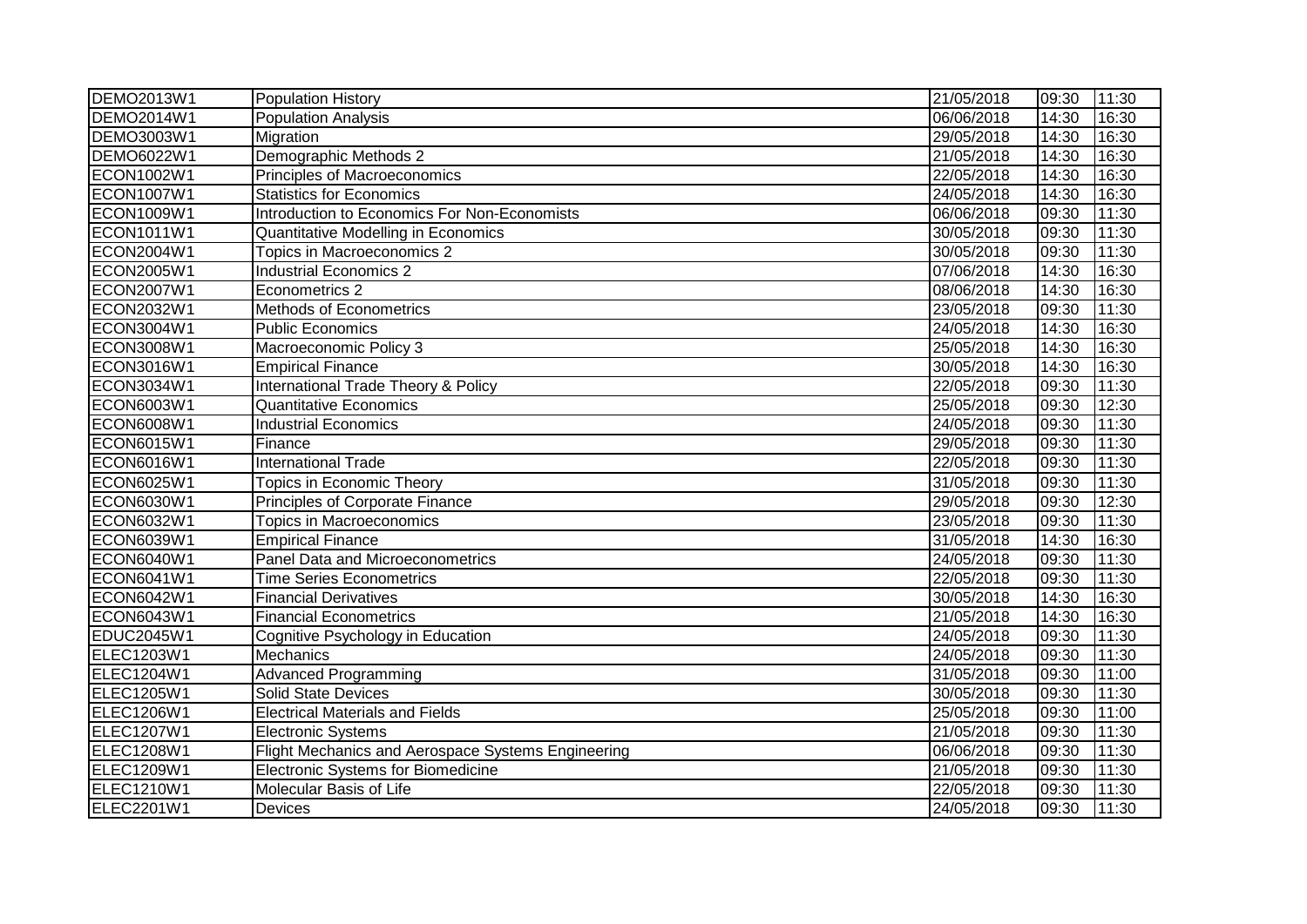| <b>DEMO2013W1</b> | <b>Population History</b>                          | 21/05/2018 | 09:30 | 11:30 |
|-------------------|----------------------------------------------------|------------|-------|-------|
| DEMO2014W1        | <b>Population Analysis</b>                         | 06/06/2018 | 14:30 | 16:30 |
| DEMO3003W1        | Migration                                          | 29/05/2018 | 14:30 | 16:30 |
| DEMO6022W1        | Demographic Methods 2                              | 21/05/2018 | 14:30 | 16:30 |
| ECON1002W1        | Principles of Macroeconomics                       | 22/05/2018 | 14:30 | 16:30 |
| ECON1007W1        | <b>Statistics for Economics</b>                    | 24/05/2018 | 14:30 | 16:30 |
| ECON1009W1        | Introduction to Economics For Non-Economists       | 06/06/2018 | 09:30 | 11:30 |
| ECON1011W1        | Quantitative Modelling in Economics                | 30/05/2018 | 09:30 | 11:30 |
| ECON2004W1        | Topics in Macroeconomics 2                         | 30/05/2018 | 09:30 | 11:30 |
| ECON2005W1        | <b>Industrial Economics 2</b>                      | 07/06/2018 | 14:30 | 16:30 |
| ECON2007W1        | Econometrics 2                                     | 08/06/2018 | 14:30 | 16:30 |
| ECON2032W1        | Methods of Econometrics                            | 23/05/2018 | 09:30 | 11:30 |
| ECON3004W1        | <b>Public Economics</b>                            | 24/05/2018 | 14:30 | 16:30 |
| <b>ECON3008W1</b> | Macroeconomic Policy 3                             | 25/05/2018 | 14:30 | 16:30 |
| ECON3016W1        | <b>Empirical Finance</b>                           | 30/05/2018 | 14:30 | 16:30 |
| ECON3034W1        | International Trade Theory & Policy                | 22/05/2018 | 09:30 | 11:30 |
| <b>ECON6003W1</b> | <b>Quantitative Economics</b>                      | 25/05/2018 | 09:30 | 12:30 |
| <b>ECON6008W1</b> | <b>Industrial Economics</b>                        | 24/05/2018 | 09:30 | 11:30 |
| ECON6015W1        | $F$ inance                                         | 29/05/2018 | 09:30 | 11:30 |
| <b>ECON6016W1</b> | <b>International Trade</b>                         | 22/05/2018 | 09:30 | 11:30 |
| ECON6025W1        | <b>Topics in Economic Theory</b>                   | 31/05/2018 | 09:30 | 11:30 |
| ECON6030W1        | Principles of Corporate Finance                    | 29/05/2018 | 09:30 | 12:30 |
| <b>ECON6032W1</b> | <b>Topics in Macroeconomics</b>                    | 23/05/2018 | 09:30 | 11:30 |
| ECON6039W1        | <b>Empirical Finance</b>                           | 31/05/2018 | 14:30 | 16:30 |
| <b>ECON6040W1</b> | Panel Data and Microeconometrics                   | 24/05/2018 | 09:30 | 11:30 |
| ECON6041W1        | <b>Time Series Econometrics</b>                    | 22/05/2018 | 09:30 | 11:30 |
| ECON6042W1        | <b>Financial Derivatives</b>                       | 30/05/2018 | 14:30 | 16:30 |
| ECON6043W1        | <b>Financial Econometrics</b>                      | 21/05/2018 | 14:30 | 16:30 |
| EDUC2045W1        | Cognitive Psychology in Education                  | 24/05/2018 | 09:30 | 11:30 |
| ELEC1203W1        | Mechanics                                          | 24/05/2018 | 09:30 | 11:30 |
| ELEC1204W1        | <b>Advanced Programming</b>                        | 31/05/2018 | 09:30 | 11:00 |
| <b>ELEC1205W1</b> | <b>Solid State Devices</b>                         | 30/05/2018 | 09:30 | 11:30 |
| <b>ELEC1206W1</b> | <b>Electrical Materials and Fields</b>             | 25/05/2018 | 09:30 | 11:00 |
| <b>ELEC1207W1</b> | <b>Electronic Systems</b>                          | 21/05/2018 | 09:30 | 11:30 |
| <b>ELEC1208W1</b> | Flight Mechanics and Aerospace Systems Engineering | 06/06/2018 | 09:30 | 11:30 |
| ELEC1209W1        | <b>Electronic Systems for Biomedicine</b>          | 21/05/2018 | 09:30 | 11:30 |
| ELEC1210W1        | Molecular Basis of Life                            | 22/05/2018 | 09:30 | 11:30 |
| ELEC2201W1        | <b>Devices</b>                                     | 24/05/2018 | 09:30 | 11:30 |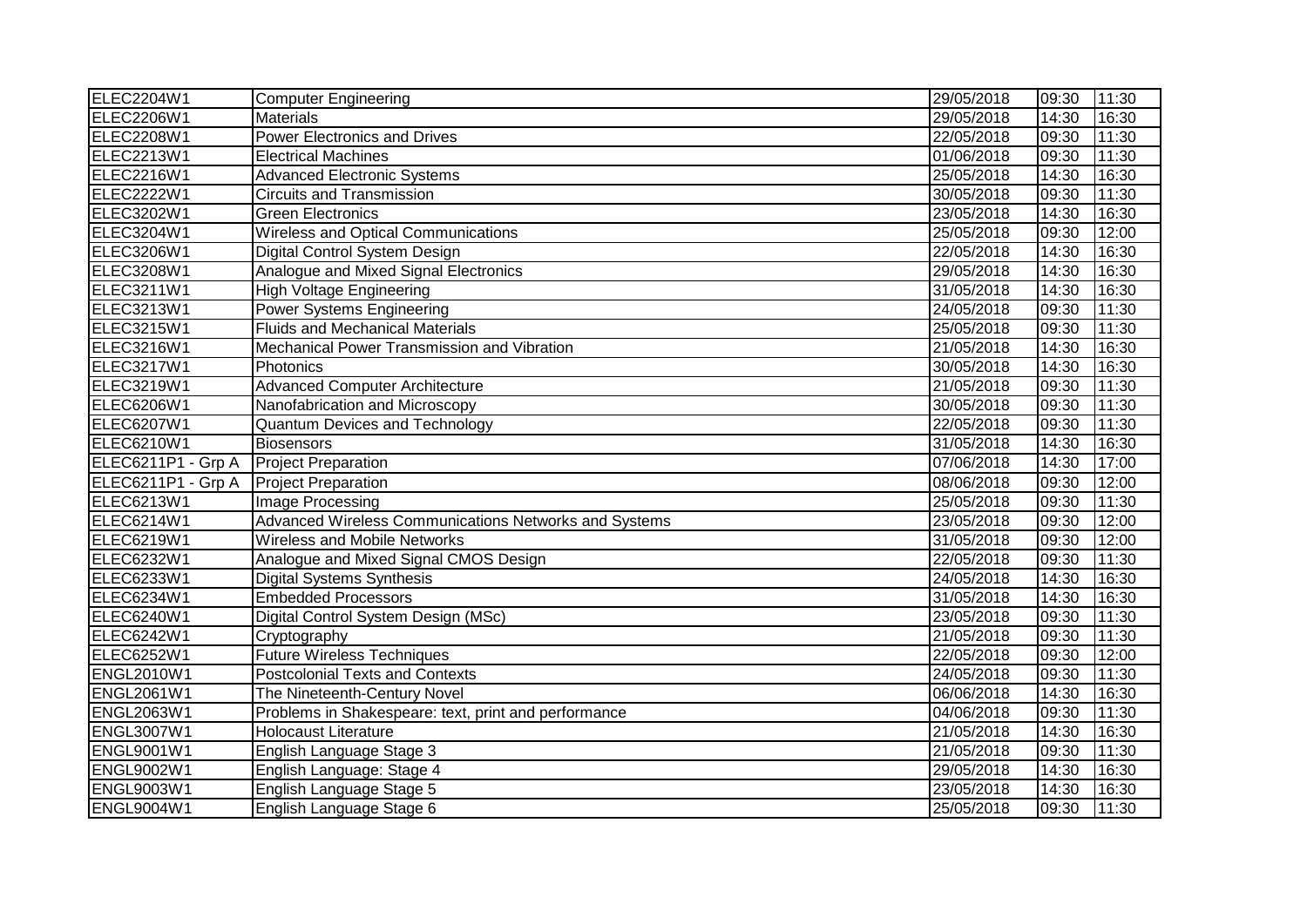| ELEC2204W1         | <b>Computer Engineering</b>                           | 29/05/2018 | 09:30 | 11:30 |
|--------------------|-------------------------------------------------------|------------|-------|-------|
| ELEC2206W1         | <b>Materials</b>                                      | 29/05/2018 | 14:30 | 16:30 |
| ELEC2208W1         | <b>Power Electronics and Drives</b>                   | 22/05/2018 | 09:30 | 11:30 |
| ELEC2213W1         | <b>Electrical Machines</b>                            | 01/06/2018 | 09:30 | 11:30 |
| ELEC2216W1         | <b>Advanced Electronic Systems</b>                    | 25/05/2018 | 14:30 | 16:30 |
| <b>ELEC2222W1</b>  | <b>Circuits and Transmission</b>                      | 30/05/2018 | 09:30 | 11:30 |
| ELEC3202W1         | <b>Green Electronics</b>                              | 23/05/2018 | 14:30 | 16:30 |
| ELEC3204W1         | Wireless and Optical Communications                   | 25/05/2018 | 09:30 | 12:00 |
| ELEC3206W1         | Digital Control System Design                         | 22/05/2018 | 14:30 | 16:30 |
| ELEC3208W1         | Analogue and Mixed Signal Electronics                 | 29/05/2018 | 14:30 | 16:30 |
| ELEC3211W1         | <b>High Voltage Engineering</b>                       | 31/05/2018 | 14:30 | 16:30 |
| ELEC3213W1         | <b>Power Systems Engineering</b>                      | 24/05/2018 | 09:30 | 11:30 |
| ELEC3215W1         | <b>Fluids and Mechanical Materials</b>                | 25/05/2018 | 09:30 | 11:30 |
| ELEC3216W1         | Mechanical Power Transmission and Vibration           | 21/05/2018 | 14:30 | 16:30 |
| ELEC3217W1         | Photonics                                             | 30/05/2018 | 14:30 | 16:30 |
| ELEC3219W1         | <b>Advanced Computer Architecture</b>                 | 21/05/2018 | 09:30 | 11:30 |
| ELEC6206W1         | Nanofabrication and Microscopy                        | 30/05/2018 | 09:30 | 11:30 |
| ELEC6207W1         | <b>Quantum Devices and Technology</b>                 | 22/05/2018 | 09:30 | 11:30 |
| ELEC6210W1         | <b>Biosensors</b>                                     | 31/05/2018 | 14:30 | 16:30 |
| ELEC6211P1 - Grp A | <b>Project Preparation</b>                            | 07/06/2018 | 14:30 | 17:00 |
| ELEC6211P1 - Grp A | <b>Project Preparation</b>                            | 08/06/2018 | 09:30 | 12:00 |
| ELEC6213W1         | Image Processing                                      | 25/05/2018 | 09:30 | 11:30 |
| ELEC6214W1         | Advanced Wireless Communications Networks and Systems | 23/05/2018 | 09:30 | 12:00 |
| ELEC6219W1         | Wireless and Mobile Networks                          | 31/05/2018 | 09:30 | 12:00 |
| ELEC6232W1         | Analogue and Mixed Signal CMOS Design                 | 22/05/2018 | 09:30 | 11:30 |
| ELEC6233W1         | <b>Digital Systems Synthesis</b>                      | 24/05/2018 | 14:30 | 16:30 |
| ELEC6234W1         | <b>Embedded Processors</b>                            | 31/05/2018 | 14:30 | 16:30 |
| ELEC6240W1         | Digital Control System Design (MSc)                   | 23/05/2018 | 09:30 | 11:30 |
| <b>ELEC6242W1</b>  | Cryptography                                          | 21/05/2018 | 09:30 | 11:30 |
| ELEC6252W1         | Future Wireless Techniques                            | 22/05/2018 | 09:30 | 12:00 |
| <b>ENGL2010W1</b>  | <b>Postcolonial Texts and Contexts</b>                | 24/05/2018 | 09:30 | 11:30 |
| <b>ENGL2061W1</b>  | The Nineteenth-Century Novel                          | 06/06/2018 | 14:30 | 16:30 |
| <b>ENGL2063W1</b>  | Problems in Shakespeare: text, print and performance  | 04/06/2018 | 09:30 | 11:30 |
| <b>ENGL3007W1</b>  | <b>Holocaust Literature</b>                           | 21/05/2018 | 14:30 | 16:30 |
| <b>ENGL9001W1</b>  | English Language Stage 3                              | 21/05/2018 | 09:30 | 11:30 |
| <b>ENGL9002W1</b>  | English Language: Stage 4                             | 29/05/2018 | 14:30 | 16:30 |
| <b>ENGL9003W1</b>  | English Language Stage 5                              | 23/05/2018 | 14:30 | 16:30 |
| <b>ENGL9004W1</b>  | English Language Stage 6                              | 25/05/2018 | 09:30 | 11:30 |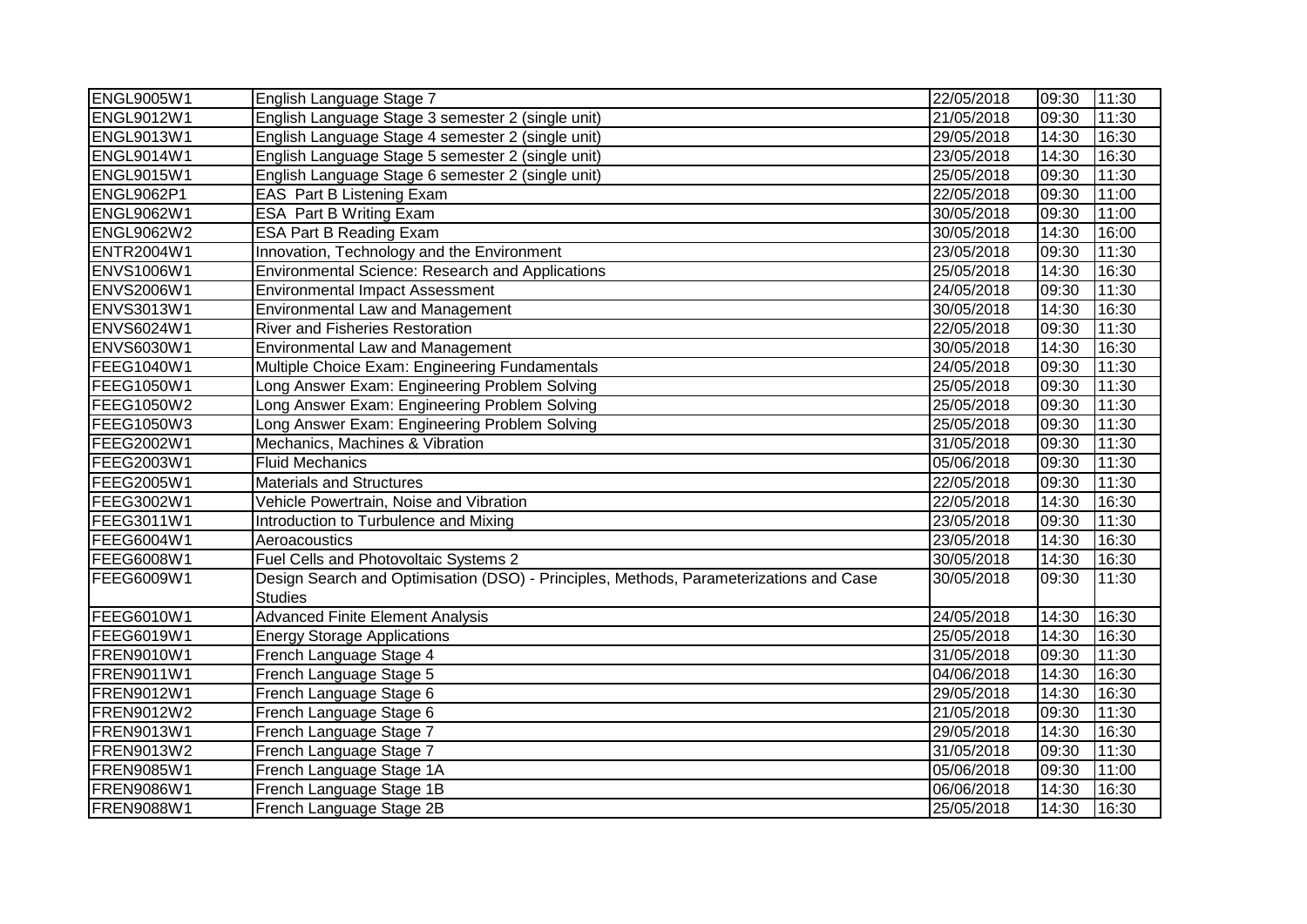| <b>ENGL9005W1</b> | English Language Stage 7                                                                                 | 22/05/2018 | 09:30 | 11:30 |
|-------------------|----------------------------------------------------------------------------------------------------------|------------|-------|-------|
| <b>ENGL9012W1</b> | English Language Stage 3 semester 2 (single unit)                                                        | 21/05/2018 | 09:30 | 11:30 |
| <b>ENGL9013W1</b> | English Language Stage 4 semester 2 (single unit)                                                        | 29/05/2018 | 14:30 | 16:30 |
| <b>ENGL9014W1</b> | English Language Stage 5 semester 2 (single unit)                                                        | 23/05/2018 | 14:30 | 16:30 |
| <b>ENGL9015W1</b> | English Language Stage 6 semester 2 (single unit)                                                        | 25/05/2018 | 09:30 | 11:30 |
| <b>ENGL9062P1</b> | EAS Part B Listening Exam                                                                                | 22/05/2018 | 09:30 | 11:00 |
| ENGL9062W1        | ESA Part B Writing Exam                                                                                  | 30/05/2018 | 09:30 | 11:00 |
| <b>ENGL9062W2</b> | <b>ESA Part B Reading Exam</b>                                                                           | 30/05/2018 | 14:30 | 16:00 |
| <b>ENTR2004W1</b> | Innovation, Technology and the Environment                                                               | 23/05/2018 | 09:30 | 11:30 |
| <b>ENVS1006W1</b> | Environmental Science: Research and Applications                                                         | 25/05/2018 | 14:30 | 16:30 |
| <b>ENVS2006W1</b> | <b>Environmental Impact Assessment</b>                                                                   | 24/05/2018 | 09:30 | 11:30 |
| <b>ENVS3013W1</b> | <b>Environmental Law and Management</b>                                                                  | 30/05/2018 | 14:30 | 16:30 |
| <b>ENVS6024W1</b> | <b>River and Fisheries Restoration</b>                                                                   | 22/05/2018 | 09:30 | 11:30 |
| <b>ENVS6030W1</b> | <b>Environmental Law and Management</b>                                                                  | 30/05/2018 | 14:30 | 16:30 |
| FEEG1040W1        | Multiple Choice Exam: Engineering Fundamentals                                                           | 24/05/2018 | 09:30 | 11:30 |
| <b>FEEG1050W1</b> | Long Answer Exam: Engineering Problem Solving                                                            | 25/05/2018 | 09:30 | 11:30 |
| <b>FEEG1050W2</b> | Long Answer Exam: Engineering Problem Solving                                                            | 25/05/2018 | 09:30 | 11:30 |
| FEEG1050W3        | Long Answer Exam: Engineering Problem Solving                                                            | 25/05/2018 | 09:30 | 11:30 |
| FEEG2002W1        | Mechanics, Machines & Vibration                                                                          | 31/05/2018 | 09:30 | 11:30 |
| FEEG2003W1        | <b>Fluid Mechanics</b>                                                                                   | 05/06/2018 | 09:30 | 11:30 |
| FEEG2005W1        | <b>Materials and Structures</b>                                                                          | 22/05/2018 | 09:30 | 11:30 |
| FEEG3002W1        | Vehicle Powertrain, Noise and Vibration                                                                  | 22/05/2018 | 14:30 | 16:30 |
| FEEG3011W1        | Introduction to Turbulence and Mixing                                                                    | 23/05/2018 | 09:30 | 11:30 |
| FEEG6004W1        | Aeroacoustics                                                                                            | 23/05/2018 | 14:30 | 16:30 |
| FEEG6008W1        | Fuel Cells and Photovoltaic Systems 2                                                                    | 30/05/2018 | 14:30 | 16:30 |
| FEEG6009W1        | Design Search and Optimisation (DSO) - Principles, Methods, Parameterizations and Case<br><b>Studies</b> | 30/05/2018 | 09:30 | 11:30 |
| FEEG6010W1        | <b>Advanced Finite Element Analysis</b>                                                                  | 24/05/2018 | 14:30 | 16:30 |
| FEEG6019W1        | <b>Energy Storage Applications</b>                                                                       | 25/05/2018 | 14:30 | 16:30 |
| FREN9010W1        | French Language Stage 4                                                                                  | 31/05/2018 | 09:30 | 11:30 |
| <b>FREN9011W1</b> | French Language Stage 5                                                                                  | 04/06/2018 | 14:30 | 16:30 |
| FREN9012W1        | French Language Stage 6                                                                                  | 29/05/2018 | 14:30 | 16:30 |
| <b>FREN9012W2</b> | French Language Stage 6                                                                                  | 21/05/2018 | 09:30 | 11:30 |
| <b>FREN9013W1</b> | French Language Stage 7                                                                                  | 29/05/2018 | 14:30 | 16:30 |
| <b>FREN9013W2</b> | French Language Stage 7                                                                                  | 31/05/2018 | 09:30 | 11:30 |
| <b>FREN9085W1</b> | French Language Stage 1A                                                                                 | 05/06/2018 | 09:30 | 11:00 |
| FREN9086W1        | French Language Stage 1B                                                                                 | 06/06/2018 | 14:30 | 16:30 |
| <b>FREN9088W1</b> | French Language Stage 2B                                                                                 | 25/05/2018 | 14:30 | 16:30 |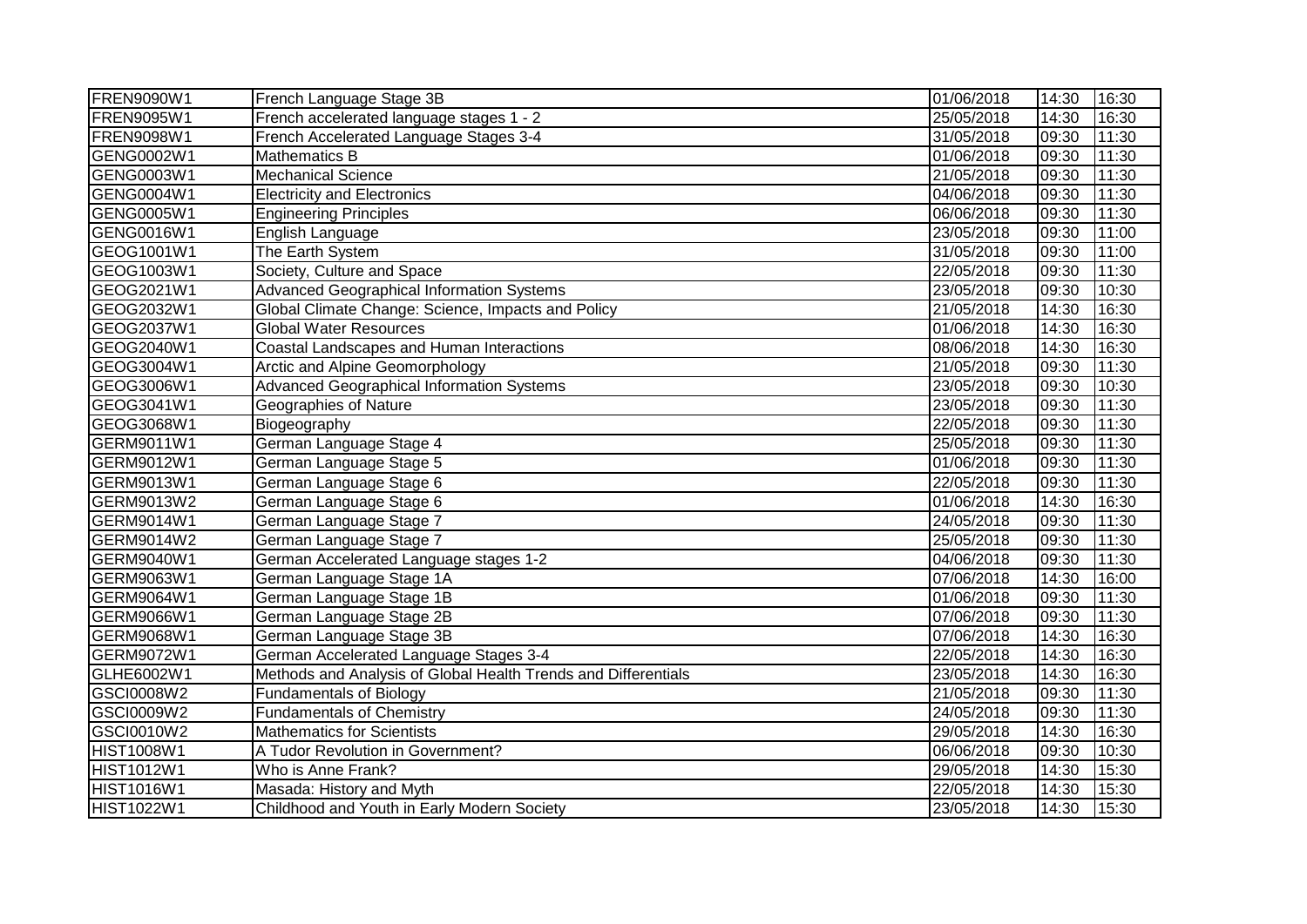| <b>FREN9090W1</b> | French Language Stage 3B                                       | 01/06/2018 | 14:30 | 16:30 |
|-------------------|----------------------------------------------------------------|------------|-------|-------|
| FREN9095W1        | French accelerated language stages 1 - 2                       | 25/05/2018 | 14:30 | 16:30 |
| FREN9098W1        | French Accelerated Language Stages 3-4                         | 31/05/2018 | 09:30 | 11:30 |
| GENG0002W1        | <b>Mathematics B</b>                                           | 01/06/2018 | 09:30 | 11:30 |
| GENG0003W1        | <b>Mechanical Science</b>                                      | 21/05/2018 | 09:30 | 11:30 |
| GENG0004W1        | <b>Electricity and Electronics</b>                             | 04/06/2018 | 09:30 | 11:30 |
| GENG0005W1        | <b>Engineering Principles</b>                                  | 06/06/2018 | 09:30 | 11:30 |
| GENG0016W1        | English Language                                               | 23/05/2018 | 09:30 | 11:00 |
| GEOG1001W1        | The Earth System                                               | 31/05/2018 | 09:30 | 11:00 |
| GEOG1003W1        | Society, Culture and Space                                     | 22/05/2018 | 09:30 | 11:30 |
| GEOG2021W1        | <b>Advanced Geographical Information Systems</b>               | 23/05/2018 | 09:30 | 10:30 |
| GEOG2032W1        | Global Climate Change: Science, Impacts and Policy             | 21/05/2018 | 14:30 | 16:30 |
| GEOG2037W1        | <b>Global Water Resources</b>                                  | 01/06/2018 | 14:30 | 16:30 |
| GEOG2040W1        | Coastal Landscapes and Human Interactions                      | 08/06/2018 | 14:30 | 16:30 |
| GEOG3004W1        | Arctic and Alpine Geomorphology                                | 21/05/2018 | 09:30 | 11:30 |
| GEOG3006W1        | <b>Advanced Geographical Information Systems</b>               | 23/05/2018 | 09:30 | 10:30 |
| GEOG3041W1        | Geographies of Nature                                          | 23/05/2018 | 09:30 | 11:30 |
| GEOG3068W1        | Biogeography                                                   | 22/05/2018 | 09:30 | 11:30 |
| GERM9011W1        | German Language Stage 4                                        | 25/05/2018 | 09:30 | 11:30 |
| GERM9012W1        | German Language Stage 5                                        | 01/06/2018 | 09:30 | 11:30 |
| GERM9013W1        | German Language Stage 6                                        | 22/05/2018 | 09:30 | 11:30 |
| GERM9013W2        | German Language Stage 6                                        | 01/06/2018 | 14:30 | 16:30 |
| GERM9014W1        | German Language Stage 7                                        | 24/05/2018 | 09:30 | 11:30 |
| GERM9014W2        | German Language Stage 7                                        | 25/05/2018 | 09:30 | 11:30 |
| GERM9040W1        | German Accelerated Language stages 1-2                         | 04/06/2018 | 09:30 | 11:30 |
| GERM9063W1        | German Language Stage 1A                                       | 07/06/2018 | 14:30 | 16:00 |
| GERM9064W1        | German Language Stage 1B                                       | 01/06/2018 | 09:30 | 11:30 |
| GERM9066W1        | German Language Stage 2B                                       | 07/06/2018 | 09:30 | 11:30 |
| GERM9068W1        | German Language Stage 3B                                       | 07/06/2018 | 14:30 | 16:30 |
| GERM9072W1        | German Accelerated Language Stages 3-4                         | 22/05/2018 | 14:30 | 16:30 |
| GLHE6002W1        | Methods and Analysis of Global Health Trends and Differentials | 23/05/2018 | 14:30 | 16:30 |
| GSCI0008W2        | <b>Fundamentals of Biology</b>                                 | 21/05/2018 | 09:30 | 11:30 |
| GSCI0009W2        | <b>Fundamentals of Chemistry</b>                               | 24/05/2018 | 09:30 | 11:30 |
| GSCI0010W2        | <b>Mathematics for Scientists</b>                              | 29/05/2018 | 14:30 | 16:30 |
| <b>HIST1008W1</b> | A Tudor Revolution in Government?                              | 06/06/2018 | 09:30 | 10:30 |
| <b>HIST1012W1</b> | Who is Anne Frank?                                             | 29/05/2018 | 14:30 | 15:30 |
| <b>HIST1016W1</b> | Masada: History and Myth                                       | 22/05/2018 | 14:30 | 15:30 |
| <b>HIST1022W1</b> | Childhood and Youth in Early Modern Society                    | 23/05/2018 | 14:30 | 15:30 |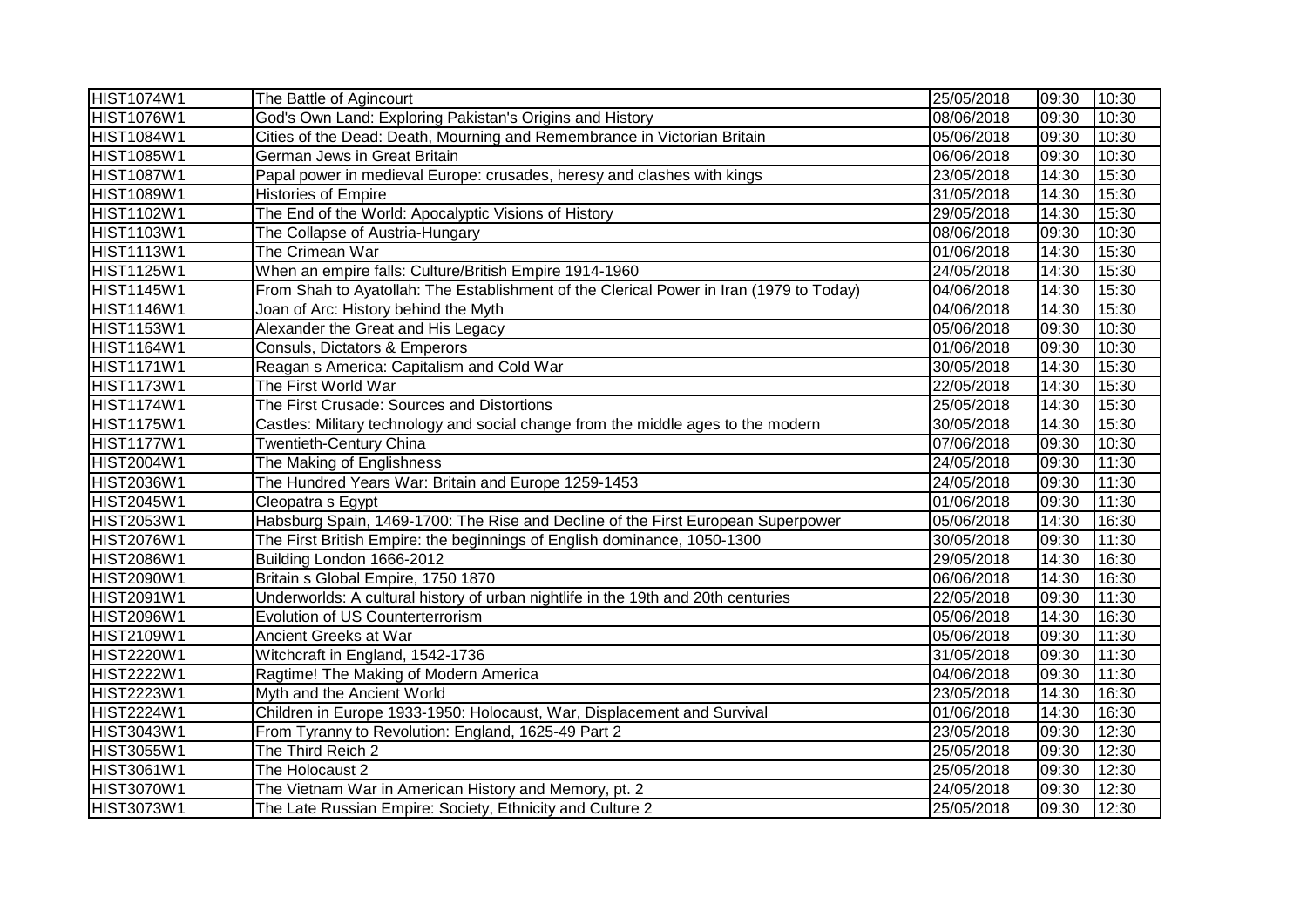| <b>HIST1074W1</b> | The Battle of Agincourt                                                                 | 25/05/2018 | 09:30 | 10:30 |
|-------------------|-----------------------------------------------------------------------------------------|------------|-------|-------|
| <b>HIST1076W1</b> | God's Own Land: Exploring Pakistan's Origins and History                                | 08/06/2018 | 09:30 | 10:30 |
| <b>HIST1084W1</b> | Cities of the Dead: Death, Mourning and Remembrance in Victorian Britain                | 05/06/2018 | 09:30 | 10:30 |
| <b>HIST1085W1</b> | German Jews in Great Britain                                                            | 06/06/2018 | 09:30 | 10:30 |
| <b>HIST1087W1</b> | Papal power in medieval Europe: crusades, heresy and clashes with kings                 | 23/05/2018 | 14:30 | 15:30 |
| <b>HIST1089W1</b> | <b>Histories of Empire</b>                                                              | 31/05/2018 | 14:30 | 15:30 |
| <b>HIST1102W1</b> | The End of the World: Apocalyptic Visions of History                                    | 29/05/2018 | 14:30 | 15:30 |
| <b>HIST1103W1</b> | The Collapse of Austria-Hungary                                                         | 08/06/2018 | 09:30 | 10:30 |
| <b>HIST1113W1</b> | The Crimean War                                                                         | 01/06/2018 | 14:30 | 15:30 |
| <b>HIST1125W1</b> | When an empire falls: Culture/British Empire 1914-1960                                  | 24/05/2018 | 14:30 | 15:30 |
| <b>HIST1145W1</b> | From Shah to Ayatollah: The Establishment of the Clerical Power in Iran (1979 to Today) | 04/06/2018 | 14:30 | 15:30 |
| <b>HIST1146W1</b> | Joan of Arc: History behind the Myth                                                    | 04/06/2018 | 14:30 | 15:30 |
| <b>HIST1153W1</b> | Alexander the Great and His Legacy                                                      | 05/06/2018 | 09:30 | 10:30 |
| HIST1164W1        | Consuls, Dictators & Emperors                                                           | 01/06/2018 | 09:30 | 10:30 |
| <b>HIST1171W1</b> | Reagan s America: Capitalism and Cold War                                               | 30/05/2018 | 14:30 | 15:30 |
| HIST1173W1        | The First World War                                                                     | 22/05/2018 | 14:30 | 15:30 |
| <b>HIST1174W1</b> | The First Crusade: Sources and Distortions                                              | 25/05/2018 | 14:30 | 15:30 |
| <b>HIST1175W1</b> | Castles: Military technology and social change from the middle ages to the modern       | 30/05/2018 | 14:30 | 15:30 |
| <b>HIST1177W1</b> | <b>Twentieth-Century China</b>                                                          | 07/06/2018 | 09:30 | 10:30 |
| <b>HIST2004W1</b> | The Making of Englishness                                                               | 24/05/2018 | 09:30 | 11:30 |
| <b>HIST2036W1</b> | The Hundred Years War: Britain and Europe 1259-1453                                     | 24/05/2018 | 09:30 | 11:30 |
| <b>HIST2045W1</b> | Cleopatra s Egypt                                                                       | 01/06/2018 | 09:30 | 11:30 |
| <b>HIST2053W1</b> | Habsburg Spain, 1469-1700: The Rise and Decline of the First European Superpower        | 05/06/2018 | 14:30 | 16:30 |
| <b>HIST2076W1</b> | The First British Empire: the beginnings of English dominance, 1050-1300                | 30/05/2018 | 09:30 | 11:30 |
| <b>HIST2086W1</b> | Building London 1666-2012                                                               | 29/05/2018 | 14:30 | 16:30 |
| <b>HIST2090W1</b> | Britain s Global Empire, 1750 1870                                                      | 06/06/2018 | 14:30 | 16:30 |
| <b>HIST2091W1</b> | Underworlds: A cultural history of urban nightlife in the 19th and 20th centuries       | 22/05/2018 | 09:30 | 11:30 |
| <b>HIST2096W1</b> | Evolution of US Counterterrorism                                                        | 05/06/2018 | 14:30 | 16:30 |
| <b>HIST2109W1</b> | Ancient Greeks at War                                                                   | 05/06/2018 | 09:30 | 11:30 |
| <b>HIST2220W1</b> | Witchcraft in England, 1542-1736                                                        | 31/05/2018 | 09:30 | 11:30 |
| HIST2222W1        | Ragtime! The Making of Modern America                                                   | 04/06/2018 | 09:30 | 11:30 |
| <b>HIST2223W1</b> | Myth and the Ancient World                                                              | 23/05/2018 | 14:30 | 16:30 |
| <b>HIST2224W1</b> | Children in Europe 1933-1950: Holocaust, War, Displacement and Survival                 | 01/06/2018 | 14:30 | 16:30 |
| <b>HIST3043W1</b> | From Tyranny to Revolution: England, 1625-49 Part 2                                     | 23/05/2018 | 09:30 | 12:30 |
| HIST3055W1        | The Third Reich 2                                                                       | 25/05/2018 | 09:30 | 12:30 |
| <b>HIST3061W1</b> | The Holocaust 2                                                                         | 25/05/2018 | 09:30 | 12:30 |
| <b>HIST3070W1</b> | The Vietnam War in American History and Memory, pt. 2                                   | 24/05/2018 | 09:30 | 12:30 |
| <b>HIST3073W1</b> | The Late Russian Empire: Society, Ethnicity and Culture 2                               | 25/05/2018 | 09:30 | 12:30 |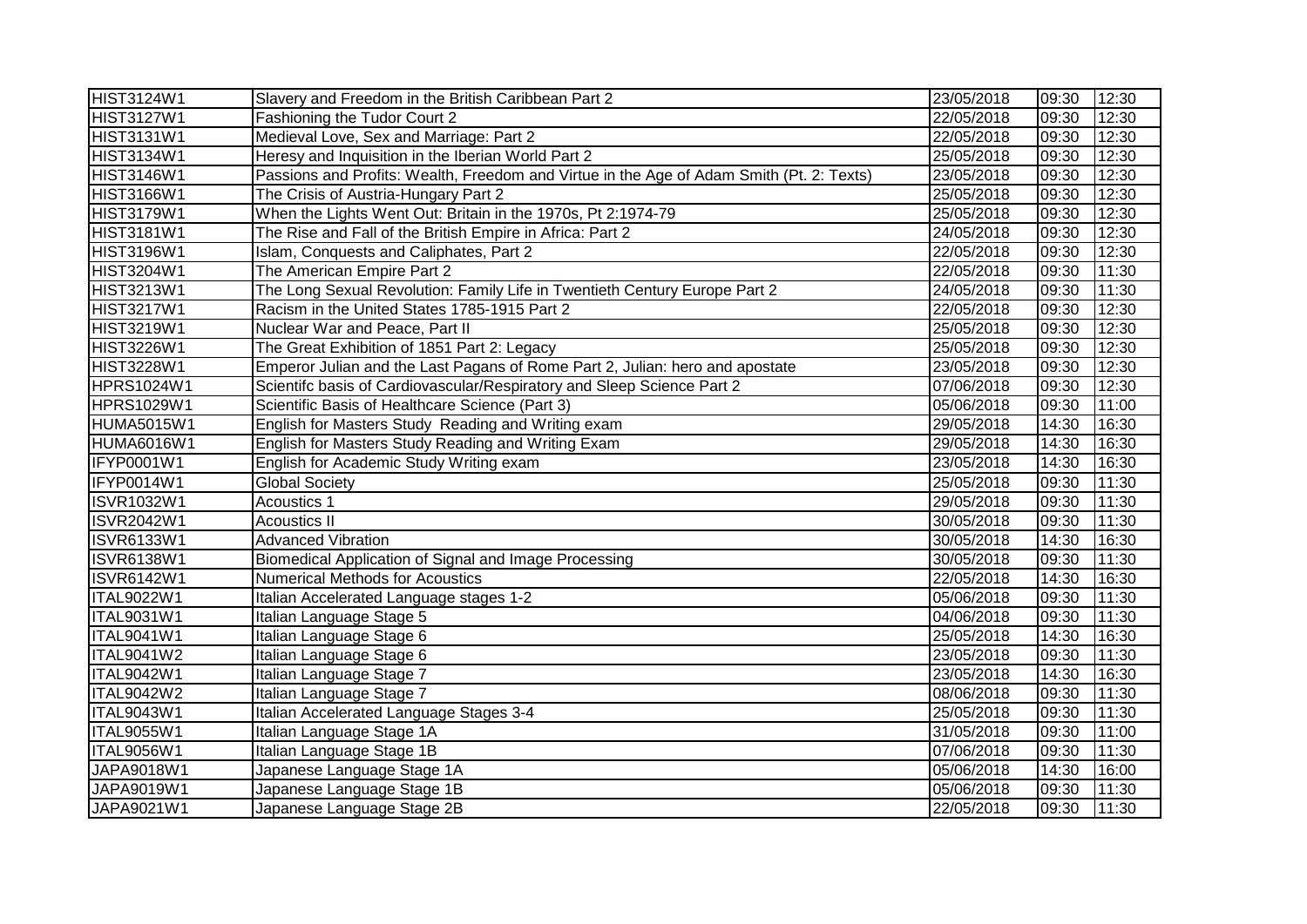| HIST3124W1        | Slavery and Freedom in the British Caribbean Part 2                                      | 23/05/2018 | 09:30 | 12:30 |
|-------------------|------------------------------------------------------------------------------------------|------------|-------|-------|
| HIST3127W1        | Fashioning the Tudor Court 2                                                             | 22/05/2018 | 09:30 | 12:30 |
| HIST3131W1        | Medieval Love, Sex and Marriage: Part 2                                                  | 22/05/2018 | 09:30 | 12:30 |
| HIST3134W1        | Heresy and Inquisition in the Iberian World Part 2                                       | 25/05/2018 | 09:30 | 12:30 |
| HIST3146W1        | Passions and Profits: Wealth, Freedom and Virtue in the Age of Adam Smith (Pt. 2: Texts) | 23/05/2018 | 09:30 | 12:30 |
| HIST3166W1        | The Crisis of Austria-Hungary Part 2                                                     | 25/05/2018 | 09:30 | 12:30 |
| <b>HIST3179W1</b> | When the Lights Went Out: Britain in the 1970s, Pt 2:1974-79                             | 25/05/2018 | 09:30 | 12:30 |
| <b>HIST3181W1</b> | The Rise and Fall of the British Empire in Africa: Part 2                                | 24/05/2018 | 09:30 | 12:30 |
| <b>HIST3196W1</b> | Islam, Conquests and Caliphates, Part 2                                                  | 22/05/2018 | 09:30 | 12:30 |
| <b>HIST3204W1</b> | The American Empire Part 2                                                               | 22/05/2018 | 09:30 | 11:30 |
| <b>HIST3213W1</b> | The Long Sexual Revolution: Family Life in Twentieth Century Europe Part 2               | 24/05/2018 | 09:30 | 11:30 |
| HIST3217W1        | Racism in the United States 1785-1915 Part 2                                             | 22/05/2018 | 09:30 | 12:30 |
| HIST3219W1        | Nuclear War and Peace, Part II                                                           | 25/05/2018 | 09:30 | 12:30 |
| HIST3226W1        | The Great Exhibition of 1851 Part 2: Legacy                                              | 25/05/2018 | 09:30 | 12:30 |
| HIST3228W1        | Emperor Julian and the Last Pagans of Rome Part 2, Julian: hero and apostate             | 23/05/2018 | 09:30 | 12:30 |
| HPRS1024W1        | Scientifc basis of Cardiovascular/Respiratory and Sleep Science Part 2                   | 07/06/2018 | 09:30 | 12:30 |
| <b>HPRS1029W1</b> | Scientific Basis of Healthcare Science (Part 3)                                          | 05/06/2018 | 09:30 | 11:00 |
| HUMA5015W1        | English for Masters Study Reading and Writing exam                                       | 29/05/2018 | 14:30 | 16:30 |
| HUMA6016W1        | English for Masters Study Reading and Writing Exam                                       | 29/05/2018 | 14:30 | 16:30 |
| IFYP0001W1        | English for Academic Study Writing exam                                                  | 23/05/2018 | 14:30 | 16:30 |
| IFYP0014W1        | <b>Global Society</b>                                                                    | 25/05/2018 | 09:30 | 11:30 |
| ISVR1032W1        | Acoustics 1                                                                              | 29/05/2018 | 09:30 | 11:30 |
| <b>ISVR2042W1</b> | <b>Acoustics II</b>                                                                      | 30/05/2018 | 09:30 | 11:30 |
| <b>ISVR6133W1</b> | <b>Advanced Vibration</b>                                                                | 30/05/2018 | 14:30 | 16:30 |
| <b>ISVR6138W1</b> | Biomedical Application of Signal and Image Processing                                    | 30/05/2018 | 09:30 | 11:30 |
| <b>ISVR6142W1</b> | <b>Numerical Methods for Acoustics</b>                                                   | 22/05/2018 | 14:30 | 16:30 |
| ITAL9022W1        | Italian Accelerated Language stages 1-2                                                  | 05/06/2018 | 09:30 | 11:30 |
| ITAL9031W1        | Italian Language Stage 5                                                                 | 04/06/2018 | 09:30 | 11:30 |
| <b>ITAL9041W1</b> | Italian Language Stage 6                                                                 | 25/05/2018 | 14:30 | 16:30 |
| ITAL9041W2        | Italian Language Stage 6                                                                 | 23/05/2018 | 09:30 | 11:30 |
| ITAL9042W1        | Italian Language Stage 7                                                                 | 23/05/2018 | 14:30 | 16:30 |
| ITAL9042W2        | Italian Language Stage 7                                                                 | 08/06/2018 | 09:30 | 11:30 |
| ITAL9043W1        | Italian Accelerated Language Stages 3-4                                                  | 25/05/2018 | 09:30 | 11:30 |
| ITAL9055W1        | Italian Language Stage 1A                                                                | 31/05/2018 | 09:30 | 11:00 |
| ITAL9056W1        | Italian Language Stage 1B                                                                | 07/06/2018 | 09:30 | 11:30 |
| JAPA9018W1        | Japanese Language Stage 1A                                                               | 05/06/2018 | 14:30 | 16:00 |
| JAPA9019W1        | Japanese Language Stage 1B                                                               | 05/06/2018 | 09:30 | 11:30 |
| JAPA9021W1        | Japanese Language Stage 2B                                                               | 22/05/2018 | 09:30 | 11:30 |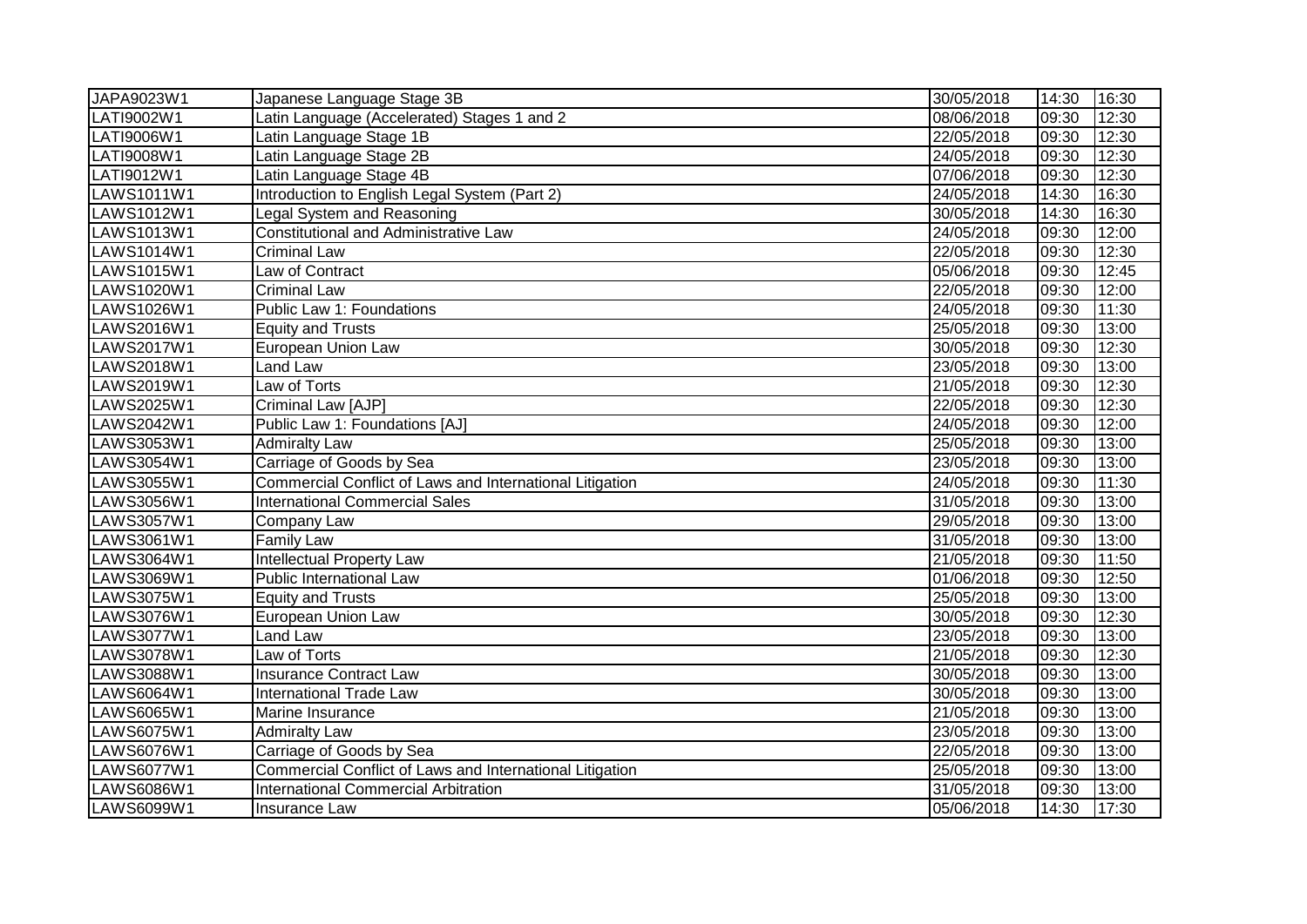| JAPA9023W1 | Japanese Language Stage 3B                               | 30/05/2018 | 14:30 | 16:30 |
|------------|----------------------------------------------------------|------------|-------|-------|
| LATI9002W1 | Latin Language (Accelerated) Stages 1 and 2              | 08/06/2018 | 09:30 | 12:30 |
| LATI9006W1 | Latin Language Stage 1B                                  | 22/05/2018 | 09:30 | 12:30 |
| LATI9008W1 | Latin Language Stage 2B                                  | 24/05/2018 | 09:30 | 12:30 |
| LATI9012W1 | Latin Language Stage 4B                                  | 07/06/2018 | 09:30 | 12:30 |
| LAWS1011W1 | Introduction to English Legal System (Part 2)            | 24/05/2018 | 14:30 | 16:30 |
| LAWS1012W1 | Legal System and Reasoning                               | 30/05/2018 | 14:30 | 16:30 |
| LAWS1013W1 | <b>Constitutional and Administrative Law</b>             | 24/05/2018 | 09:30 | 12:00 |
| LAWS1014W1 | <b>Criminal Law</b>                                      | 22/05/2018 | 09:30 | 12:30 |
| LAWS1015W1 | Law of Contract                                          | 05/06/2018 | 09:30 | 12:45 |
| LAWS1020W1 | <b>Criminal Law</b>                                      | 22/05/2018 | 09:30 | 12:00 |
| LAWS1026W1 | Public Law 1: Foundations                                | 24/05/2018 | 09:30 | 11:30 |
| LAWS2016W1 | <b>Equity and Trusts</b>                                 | 25/05/2018 | 09:30 | 13:00 |
| LAWS2017W1 | European Union Law                                       | 30/05/2018 | 09:30 | 12:30 |
| LAWS2018W1 | Land Law                                                 | 23/05/2018 | 09:30 | 13:00 |
| LAWS2019W1 | Law of Torts                                             | 21/05/2018 | 09:30 | 12:30 |
| LAWS2025W1 | Criminal Law [AJP]                                       | 22/05/2018 | 09:30 | 12:30 |
| LAWS2042W1 | Public Law 1: Foundations [AJ]                           | 24/05/2018 | 09:30 | 12:00 |
| LAWS3053W1 | <b>Admiralty Law</b>                                     | 25/05/2018 | 09:30 | 13:00 |
| LAWS3054W1 | Carriage of Goods by Sea                                 | 23/05/2018 | 09:30 | 13:00 |
| LAWS3055W1 | Commercial Conflict of Laws and International Litigation | 24/05/2018 | 09:30 | 11:30 |
| LAWS3056W1 | <b>International Commercial Sales</b>                    | 31/05/2018 | 09:30 | 13:00 |
| LAWS3057W1 | Company Law                                              | 29/05/2018 | 09:30 | 13:00 |
| LAWS3061W1 | <b>Family Law</b>                                        | 31/05/2018 | 09:30 | 13:00 |
| LAWS3064W1 | <b>Intellectual Property Law</b>                         | 21/05/2018 | 09:30 | 11:50 |
| LAWS3069W1 | Public International Law                                 | 01/06/2018 | 09:30 | 12:50 |
| LAWS3075W1 | <b>Equity and Trusts</b>                                 | 25/05/2018 | 09:30 | 13:00 |
| LAWS3076W1 | European Union Law                                       | 30/05/2018 | 09:30 | 12:30 |
| LAWS3077W1 | <b>Land Law</b>                                          | 23/05/2018 | 09:30 | 13:00 |
| LAWS3078W1 | Law of Torts                                             | 21/05/2018 | 09:30 | 12:30 |
| LAWS3088W1 | <b>Insurance Contract Law</b>                            | 30/05/2018 | 09:30 | 13:00 |
| LAWS6064W1 | <b>International Trade Law</b>                           | 30/05/2018 | 09:30 | 13:00 |
| LAWS6065W1 | Marine Insurance                                         | 21/05/2018 | 09:30 | 13:00 |
| LAWS6075W1 | <b>Admiralty Law</b>                                     | 23/05/2018 | 09:30 | 13:00 |
| LAWS6076W1 | Carriage of Goods by Sea                                 | 22/05/2018 | 09:30 | 13:00 |
| LAWS6077W1 | Commercial Conflict of Laws and International Litigation | 25/05/2018 | 09:30 | 13:00 |
| LAWS6086W1 | <b>International Commercial Arbitration</b>              | 31/05/2018 | 09:30 | 13:00 |
| LAWS6099W1 | <b>Insurance Law</b>                                     | 05/06/2018 | 14:30 | 17:30 |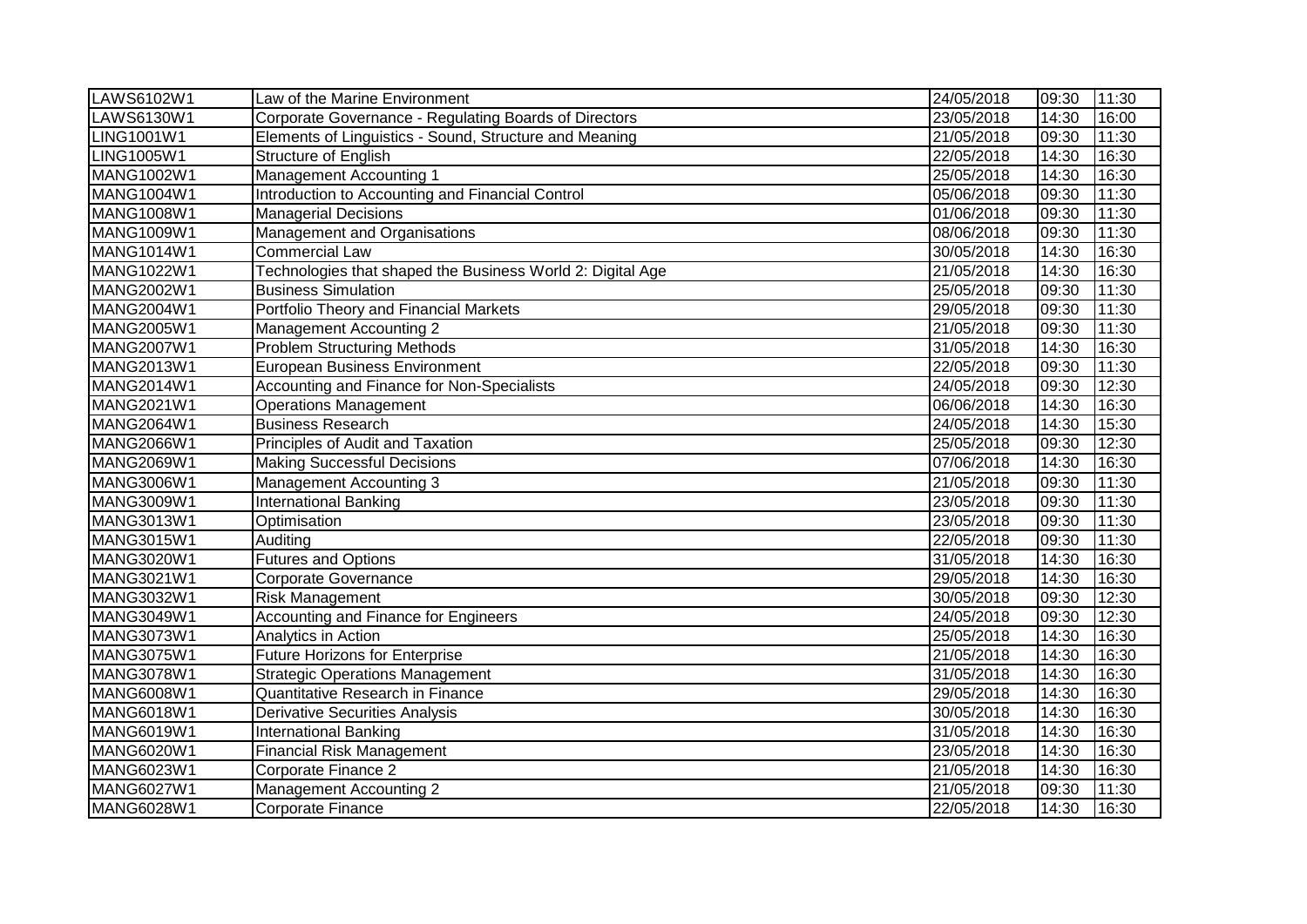| LAWS6102W1        | Law of the Marine Environment                              | 24/05/2018 | 09:30 | 11:30 |
|-------------------|------------------------------------------------------------|------------|-------|-------|
| LAWS6130W1        | Corporate Governance - Regulating Boards of Directors      | 23/05/2018 | 14:30 | 16:00 |
| LING1001W1        | Elements of Linguistics - Sound, Structure and Meaning     | 21/05/2018 | 09:30 | 11:30 |
| LING1005W1        | <b>Structure of English</b>                                | 22/05/2018 | 14:30 | 16:30 |
| MANG1002W1        | <b>Management Accounting 1</b>                             | 25/05/2018 | 14:30 | 16:30 |
| MANG1004W1        | Introduction to Accounting and Financial Control           | 05/06/2018 | 09:30 | 11:30 |
| MANG1008W1        | <b>Managerial Decisions</b>                                | 01/06/2018 | 09:30 | 11:30 |
| MANG1009W1        | Management and Organisations                               | 08/06/2018 | 09:30 | 11:30 |
| MANG1014W1        | <b>Commercial Law</b>                                      | 30/05/2018 | 14:30 | 16:30 |
| MANG1022W1        | Technologies that shaped the Business World 2: Digital Age | 21/05/2018 | 14:30 | 16:30 |
| MANG2002W1        | <b>Business Simulation</b>                                 | 25/05/2018 | 09:30 | 11:30 |
| MANG2004W1        | Portfolio Theory and Financial Markets                     | 29/05/2018 | 09:30 | 11:30 |
| <b>MANG2005W1</b> | <b>Management Accounting 2</b>                             | 21/05/2018 | 09:30 | 11:30 |
| MANG2007W1        | <b>Problem Structuring Methods</b>                         | 31/05/2018 | 14:30 | 16:30 |
| MANG2013W1        | <b>European Business Environment</b>                       | 22/05/2018 | 09:30 | 11:30 |
| MANG2014W1        | Accounting and Finance for Non-Specialists                 | 24/05/2018 | 09:30 | 12:30 |
| MANG2021W1        | <b>Operations Management</b>                               | 06/06/2018 | 14:30 | 16:30 |
| <b>MANG2064W1</b> | <b>Business Research</b>                                   | 24/05/2018 | 14:30 | 15:30 |
| <b>MANG2066W1</b> | Principles of Audit and Taxation                           | 25/05/2018 | 09:30 | 12:30 |
| <b>MANG2069W1</b> | <b>Making Successful Decisions</b>                         | 07/06/2018 | 14:30 | 16:30 |
| MANG3006W1        | <b>Management Accounting 3</b>                             | 21/05/2018 | 09:30 | 11:30 |
| MANG3009W1        | <b>International Banking</b>                               | 23/05/2018 | 09:30 | 11:30 |
| MANG3013W1        | Optimisation                                               | 23/05/2018 | 09:30 | 11:30 |
| MANG3015W1        | Auditing                                                   | 22/05/2018 | 09:30 | 11:30 |
| MANG3020W1        | <b>Futures and Options</b>                                 | 31/05/2018 | 14:30 | 16:30 |
| MANG3021W1        | Corporate Governance                                       | 29/05/2018 | 14:30 | 16:30 |
| MANG3032W1        | <b>Risk Management</b>                                     | 30/05/2018 | 09:30 | 12:30 |
| MANG3049W1        | <b>Accounting and Finance for Engineers</b>                | 24/05/2018 | 09:30 | 12:30 |
| MANG3073W1        | <b>Analytics in Action</b>                                 | 25/05/2018 | 14:30 | 16:30 |
| MANG3075W1        | <b>Future Horizons for Enterprise</b>                      | 21/05/2018 | 14:30 | 16:30 |
| <b>MANG3078W1</b> | <b>Strategic Operations Management</b>                     | 31/05/2018 | 14:30 | 16:30 |
| <b>MANG6008W1</b> | <b>Quantitative Research in Finance</b>                    | 29/05/2018 | 14:30 | 16:30 |
| <b>MANG6018W1</b> | <b>Derivative Securities Analysis</b>                      | 30/05/2018 | 14:30 | 16:30 |
| <b>MANG6019W1</b> | <b>International Banking</b>                               | 31/05/2018 | 14:30 | 16:30 |
| <b>MANG6020W1</b> | <b>Financial Risk Management</b>                           | 23/05/2018 | 14:30 | 16:30 |
| MANG6023W1        | Corporate Finance 2                                        | 21/05/2018 | 14:30 | 16:30 |
| MANG6027W1        | <b>Management Accounting 2</b>                             | 21/05/2018 | 09:30 | 11:30 |
| <b>MANG6028W1</b> | Corporate Finance                                          | 22/05/2018 | 14:30 | 16:30 |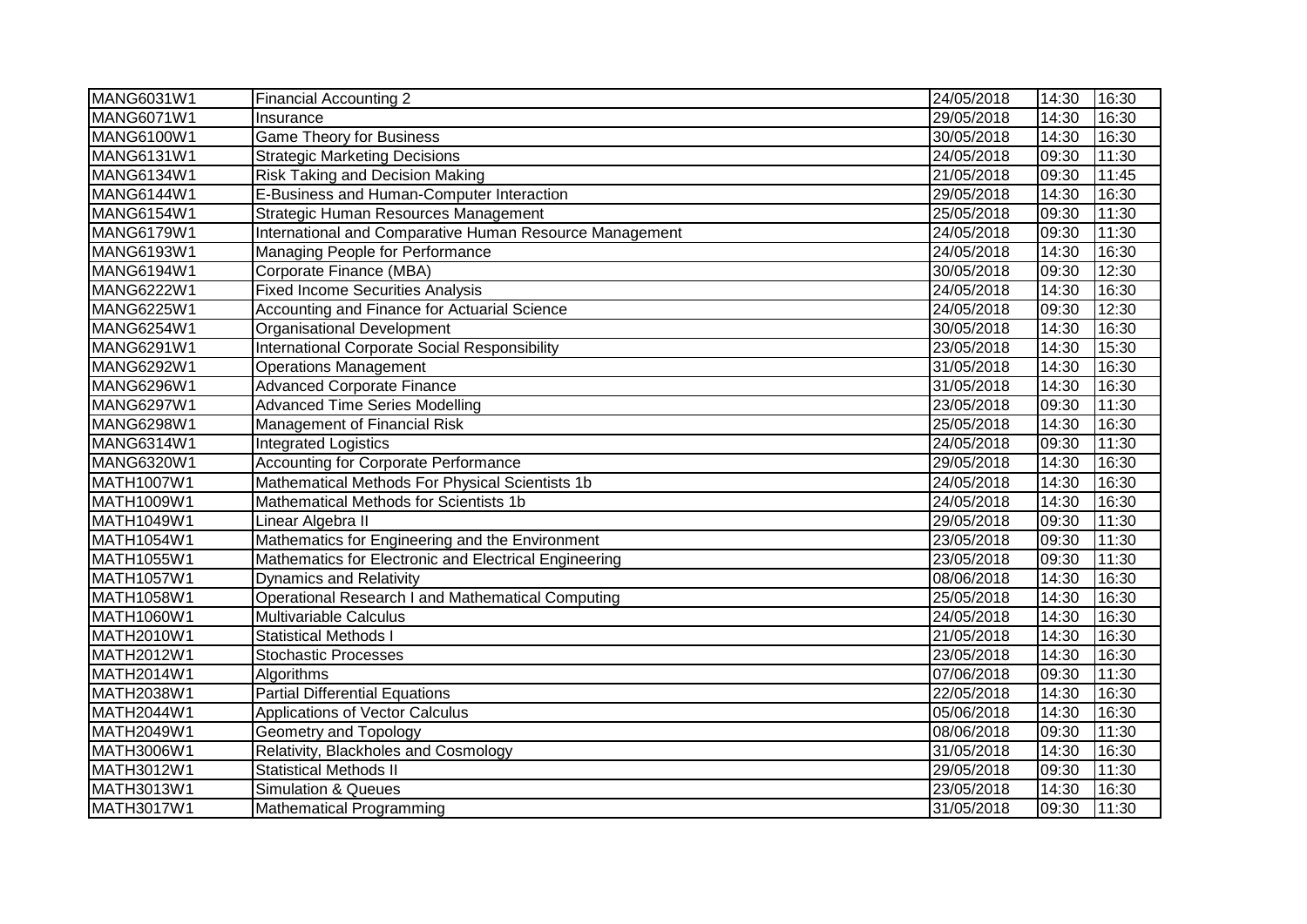| MANG6031W1        | <b>Financial Accounting 2</b>                           | 24/05/2018 | 14:30 | 16:30 |
|-------------------|---------------------------------------------------------|------------|-------|-------|
| MANG6071W1        | Insurance                                               | 29/05/2018 | 14:30 | 16:30 |
| MANG6100W1        | <b>Game Theory for Business</b>                         | 30/05/2018 | 14:30 | 16:30 |
| <b>MANG6131W1</b> | <b>Strategic Marketing Decisions</b>                    | 24/05/2018 | 09:30 | 11:30 |
| MANG6134W1        | Risk Taking and Decision Making                         | 21/05/2018 | 09:30 | 11:45 |
| MANG6144W1        | E-Business and Human-Computer Interaction               | 29/05/2018 | 14:30 | 16:30 |
| MANG6154W1        | Strategic Human Resources Management                    | 25/05/2018 | 09:30 | 11:30 |
| MANG6179W1        | International and Comparative Human Resource Management | 24/05/2018 | 09:30 | 11:30 |
| MANG6193W1        | Managing People for Performance                         | 24/05/2018 | 14:30 | 16:30 |
| MANG6194W1        | Corporate Finance (MBA)                                 | 30/05/2018 | 09:30 | 12:30 |
| MANG6222W1        | <b>Fixed Income Securities Analysis</b>                 | 24/05/2018 | 14:30 | 16:30 |
| MANG6225W1        | Accounting and Finance for Actuarial Science            | 24/05/2018 | 09:30 | 12:30 |
| MANG6254W1        | Organisational Development                              | 30/05/2018 | 14:30 | 16:30 |
| MANG6291W1        | International Corporate Social Responsibility           | 23/05/2018 | 14:30 | 15:30 |
| MANG6292W1        | <b>Operations Management</b>                            | 31/05/2018 | 14:30 | 16:30 |
| MANG6296W1        | <b>Advanced Corporate Finance</b>                       | 31/05/2018 | 14:30 | 16:30 |
| MANG6297W1        | <b>Advanced Time Series Modelling</b>                   | 23/05/2018 | 09:30 | 11:30 |
| MANG6298W1        | Management of Financial Risk                            | 25/05/2018 | 14:30 | 16:30 |
| MANG6314W1        | <b>Integrated Logistics</b>                             | 24/05/2018 | 09:30 | 11:30 |
| <b>MANG6320W1</b> | <b>Accounting for Corporate Performance</b>             | 29/05/2018 | 14:30 | 16:30 |
| MATH1007W1        | Mathematical Methods For Physical Scientists 1b         | 24/05/2018 | 14:30 | 16:30 |
| MATH1009W1        | Mathematical Methods for Scientists 1b                  | 24/05/2018 | 14:30 | 16:30 |
| MATH1049W1        | Linear Algebra II                                       | 29/05/2018 | 09:30 | 11:30 |
| MATH1054W1        | Mathematics for Engineering and the Environment         | 23/05/2018 | 09:30 | 11:30 |
| MATH1055W1        | Mathematics for Electronic and Electrical Engineering   | 23/05/2018 | 09:30 | 11:30 |
| MATH1057W1        | <b>Dynamics and Relativity</b>                          | 08/06/2018 | 14:30 | 16:30 |
| MATH1058W1        | Operational Research I and Mathematical Computing       | 25/05/2018 | 14:30 | 16:30 |
| MATH1060W1        | Multivariable Calculus                                  | 24/05/2018 | 14:30 | 16:30 |
| MATH2010W1        | <b>Statistical Methods I</b>                            | 21/05/2018 | 14:30 | 16:30 |
| MATH2012W1        | <b>Stochastic Processes</b>                             | 23/05/2018 | 14:30 | 16:30 |
| MATH2014W1        | Algorithms                                              | 07/06/2018 | 09:30 | 11:30 |
| MATH2038W1        | <b>Partial Differential Equations</b>                   | 22/05/2018 | 14:30 | 16:30 |
| MATH2044W1        | <b>Applications of Vector Calculus</b>                  | 05/06/2018 | 14:30 | 16:30 |
| MATH2049W1        | <b>Geometry and Topology</b>                            | 08/06/2018 | 09:30 | 11:30 |
| MATH3006W1        | Relativity, Blackholes and Cosmology                    | 31/05/2018 | 14:30 | 16:30 |
| MATH3012W1        | <b>Statistical Methods II</b>                           | 29/05/2018 | 09:30 | 11:30 |
| MATH3013W1        | <b>Simulation &amp; Queues</b>                          | 23/05/2018 | 14:30 | 16:30 |
| <b>MATH3017W1</b> | Mathematical Programming                                | 31/05/2018 | 09:30 | 11:30 |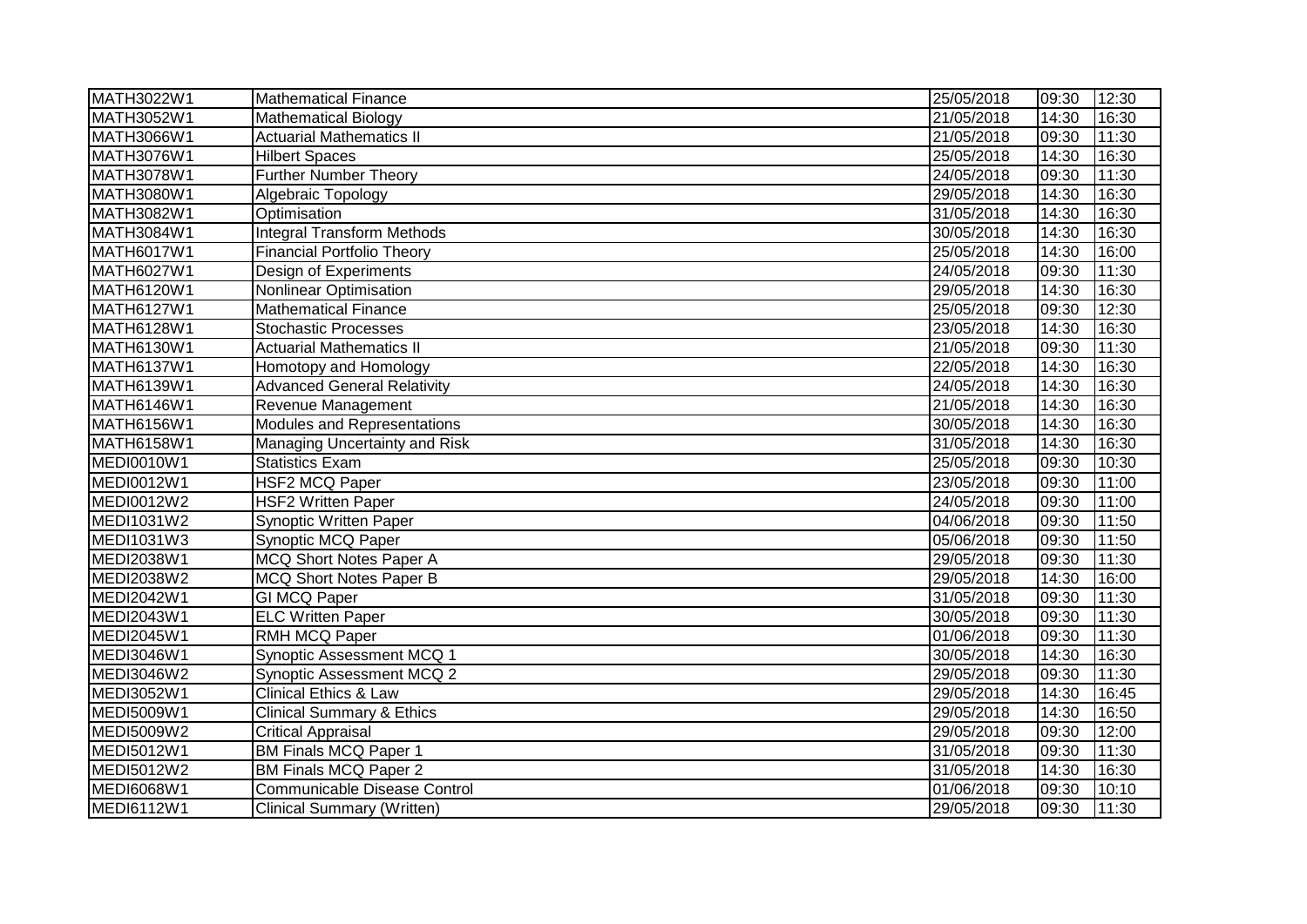| MATH3022W1        | <b>Mathematical Finance</b>          | 25/05/2018 | 09:30 | 12:30 |
|-------------------|--------------------------------------|------------|-------|-------|
| MATH3052W1        | <b>Mathematical Biology</b>          | 21/05/2018 | 14:30 | 16:30 |
| MATH3066W1        | <b>Actuarial Mathematics II</b>      | 21/05/2018 | 09:30 | 11:30 |
| MATH3076W1        | <b>Hilbert Spaces</b>                | 25/05/2018 | 14:30 | 16:30 |
| MATH3078W1        | <b>Further Number Theory</b>         | 24/05/2018 | 09:30 | 11:30 |
| MATH3080W1        | Algebraic Topology                   | 29/05/2018 | 14:30 | 16:30 |
| MATH3082W1        | Optimisation                         | 31/05/2018 | 14:30 | 16:30 |
| MATH3084W1        | <b>Integral Transform Methods</b>    | 30/05/2018 | 14:30 | 16:30 |
| MATH6017W1        | <b>Financial Portfolio Theory</b>    | 25/05/2018 | 14:30 | 16:00 |
| MATH6027W1        | Design of Experiments                | 24/05/2018 | 09:30 | 11:30 |
| MATH6120W1        | Nonlinear Optimisation               | 29/05/2018 | 14:30 | 16:30 |
| MATH6127W1        | <b>Mathematical Finance</b>          | 25/05/2018 | 09:30 | 12:30 |
| MATH6128W1        | <b>Stochastic Processes</b>          | 23/05/2018 | 14:30 | 16:30 |
| MATH6130W1        | <b>Actuarial Mathematics II</b>      | 21/05/2018 | 09:30 | 11:30 |
| <b>MATH6137W1</b> | Homotopy and Homology                | 22/05/2018 | 14:30 | 16:30 |
| MATH6139W1        | <b>Advanced General Relativity</b>   | 24/05/2018 | 14:30 | 16:30 |
| MATH6146W1        | Revenue Management                   | 21/05/2018 | 14:30 | 16:30 |
| <b>MATH6156W1</b> | Modules and Representations          | 30/05/2018 | 14:30 | 16:30 |
| MATH6158W1        | Managing Uncertainty and Risk        | 31/05/2018 | 14:30 | 16:30 |
| MEDI0010W1        | <b>Statistics Exam</b>               | 25/05/2018 | 09:30 | 10:30 |
| <b>MEDI0012W1</b> | <b>HSF2 MCQ Paper</b>                | 23/05/2018 | 09:30 | 11:00 |
| MEDI0012W2        | <b>HSF2 Written Paper</b>            | 24/05/2018 | 09:30 | 11:00 |
| MEDI1031W2        | <b>Synoptic Written Paper</b>        | 04/06/2018 | 09:30 | 11:50 |
| MEDI1031W3        | Synoptic MCQ Paper                   | 05/06/2018 | 09:30 | 11:50 |
| MEDI2038W1        | MCQ Short Notes Paper A              | 29/05/2018 | 09:30 | 11:30 |
| MEDI2038W2        | MCQ Short Notes Paper B              | 29/05/2018 | 14:30 | 16:00 |
| MEDI2042W1        | <b>GI MCQ Paper</b>                  | 31/05/2018 | 09:30 | 11:30 |
| MEDI2043W1        | <b>ELC Written Paper</b>             | 30/05/2018 | 09:30 | 11:30 |
| MEDI2045W1        | RMH MCQ Paper                        | 01/06/2018 | 09:30 | 11:30 |
| MEDI3046W1        | Synoptic Assessment MCQ 1            | 30/05/2018 | 14:30 | 16:30 |
| MEDI3046W2        | <b>Synoptic Assessment MCQ 2</b>     | 29/05/2018 | 09:30 | 11:30 |
| MEDI3052W1        | <b>Clinical Ethics &amp; Law</b>     | 29/05/2018 | 14:30 | 16:45 |
| MEDI5009W1        | <b>Clinical Summary &amp; Ethics</b> | 29/05/2018 | 14:30 | 16:50 |
| MEDI5009W2        | <b>Critical Appraisal</b>            | 29/05/2018 | 09:30 | 12:00 |
| MEDI5012W1        | <b>BM Finals MCQ Paper 1</b>         | 31/05/2018 | 09:30 | 11:30 |
| <b>MEDI5012W2</b> | <b>BM Finals MCQ Paper 2</b>         | 31/05/2018 | 14:30 | 16:30 |
| MEDI6068W1        | <b>Communicable Disease Control</b>  | 01/06/2018 | 09:30 | 10:10 |
| <b>MEDI6112W1</b> | <b>Clinical Summary (Written)</b>    | 29/05/2018 | 09:30 | 11:30 |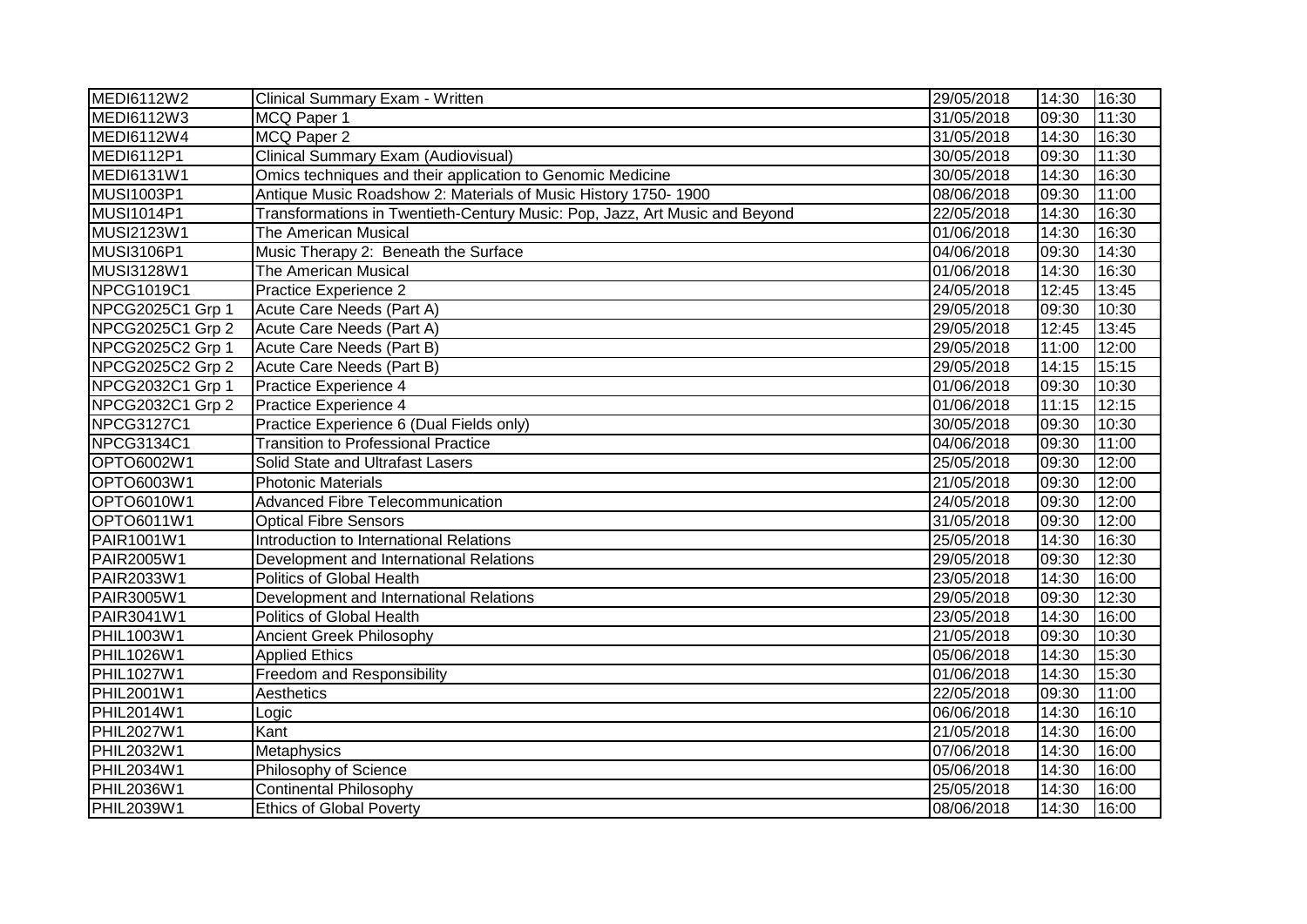| <b>MEDI6112W2</b> | Clinical Summary Exam - Written                                             | 29/05/2018 | 14:30 | 16:30 |
|-------------------|-----------------------------------------------------------------------------|------------|-------|-------|
| <b>MEDI6112W3</b> | MCQ Paper 1                                                                 | 31/05/2018 | 09:30 | 11:30 |
| MEDI6112W4        | MCQ Paper 2                                                                 | 31/05/2018 | 14:30 | 16:30 |
| MEDI6112P1        | Clinical Summary Exam (Audiovisual)                                         | 30/05/2018 | 09:30 | 11:30 |
| MEDI6131W1        | Omics techniques and their application to Genomic Medicine                  | 30/05/2018 | 14:30 | 16:30 |
| MUSI1003P1        | Antique Music Roadshow 2: Materials of Music History 1750-1900              | 08/06/2018 | 09:30 | 11:00 |
| <b>MUSI1014P1</b> | Transformations in Twentieth-Century Music: Pop, Jazz, Art Music and Beyond | 22/05/2018 | 14:30 | 16:30 |
| MUSI2123W1        | The American Musical                                                        | 01/06/2018 | 14:30 | 16:30 |
| <b>MUSI3106P1</b> | Music Therapy 2: Beneath the Surface                                        | 04/06/2018 | 09:30 | 14:30 |
| <b>MUSI3128W1</b> | The American Musical                                                        | 01/06/2018 | 14:30 | 16:30 |
| NPCG1019C1        | Practice Experience 2                                                       | 24/05/2018 | 12:45 | 13:45 |
| NPCG2025C1 Grp 1  | Acute Care Needs (Part A)                                                   | 29/05/2018 | 09:30 | 10:30 |
| NPCG2025C1 Grp 2  | Acute Care Needs (Part A)                                                   | 29/05/2018 | 12:45 | 13:45 |
| NPCG2025C2 Grp 1  | Acute Care Needs (Part B)                                                   | 29/05/2018 | 11:00 | 12:00 |
| NPCG2025C2 Grp 2  | Acute Care Needs (Part B)                                                   | 29/05/2018 | 14:15 | 15:15 |
| NPCG2032C1 Grp 1  | Practice Experience 4                                                       | 01/06/2018 | 09:30 | 10:30 |
| NPCG2032C1 Grp 2  | Practice Experience 4                                                       | 01/06/2018 | 11:15 | 12:15 |
| <b>NPCG3127C1</b> | Practice Experience 6 (Dual Fields only)                                    | 30/05/2018 | 09:30 | 10:30 |
| <b>NPCG3134C1</b> | <b>Transition to Professional Practice</b>                                  | 04/06/2018 | 09:30 | 11:00 |
| OPTO6002W1        | Solid State and Ultrafast Lasers                                            | 25/05/2018 | 09:30 | 12:00 |
| OPTO6003W1        | <b>Photonic Materials</b>                                                   | 21/05/2018 | 09:30 | 12:00 |
| OPTO6010W1        | <b>Advanced Fibre Telecommunication</b>                                     | 24/05/2018 | 09:30 | 12:00 |
| OPTO6011W1        | <b>Optical Fibre Sensors</b>                                                | 31/05/2018 | 09:30 | 12:00 |
| PAIR1001W1        | Introduction to International Relations                                     | 25/05/2018 | 14:30 | 16:30 |
| PAIR2005W1        | Development and International Relations                                     | 29/05/2018 | 09:30 | 12:30 |
| PAIR2033W1        | Politics of Global Health                                                   | 23/05/2018 | 14:30 | 16:00 |
| PAIR3005W1        | Development and International Relations                                     | 29/05/2018 | 09:30 | 12:30 |
| PAIR3041W1        | <b>Politics of Global Health</b>                                            | 23/05/2018 | 14:30 | 16:00 |
| PHIL1003W1        | <b>Ancient Greek Philosophy</b>                                             | 21/05/2018 | 09:30 | 10:30 |
| PHIL1026W1        | <b>Applied Ethics</b>                                                       | 05/06/2018 | 14:30 | 15:30 |
| PHIL1027W1        | Freedom and Responsibility                                                  | 01/06/2018 | 14:30 | 15:30 |
| PHIL2001W1        | Aesthetics                                                                  | 22/05/2018 | 09:30 | 11:00 |
| <b>PHIL2014W1</b> | Logic                                                                       | 06/06/2018 | 14:30 | 16:10 |
| <b>PHIL2027W1</b> | Kant                                                                        | 21/05/2018 | 14:30 | 16:00 |
| <b>PHIL2032W1</b> | Metaphysics                                                                 | 07/06/2018 | 14:30 | 16:00 |
| <b>PHIL2034W1</b> | Philosophy of Science                                                       | 05/06/2018 | 14:30 | 16:00 |
| PHIL2036W1        | <b>Continental Philosophy</b>                                               | 25/05/2018 | 14:30 | 16:00 |
| PHIL2039W1        | <b>Ethics of Global Poverty</b>                                             | 08/06/2018 | 14:30 | 16:00 |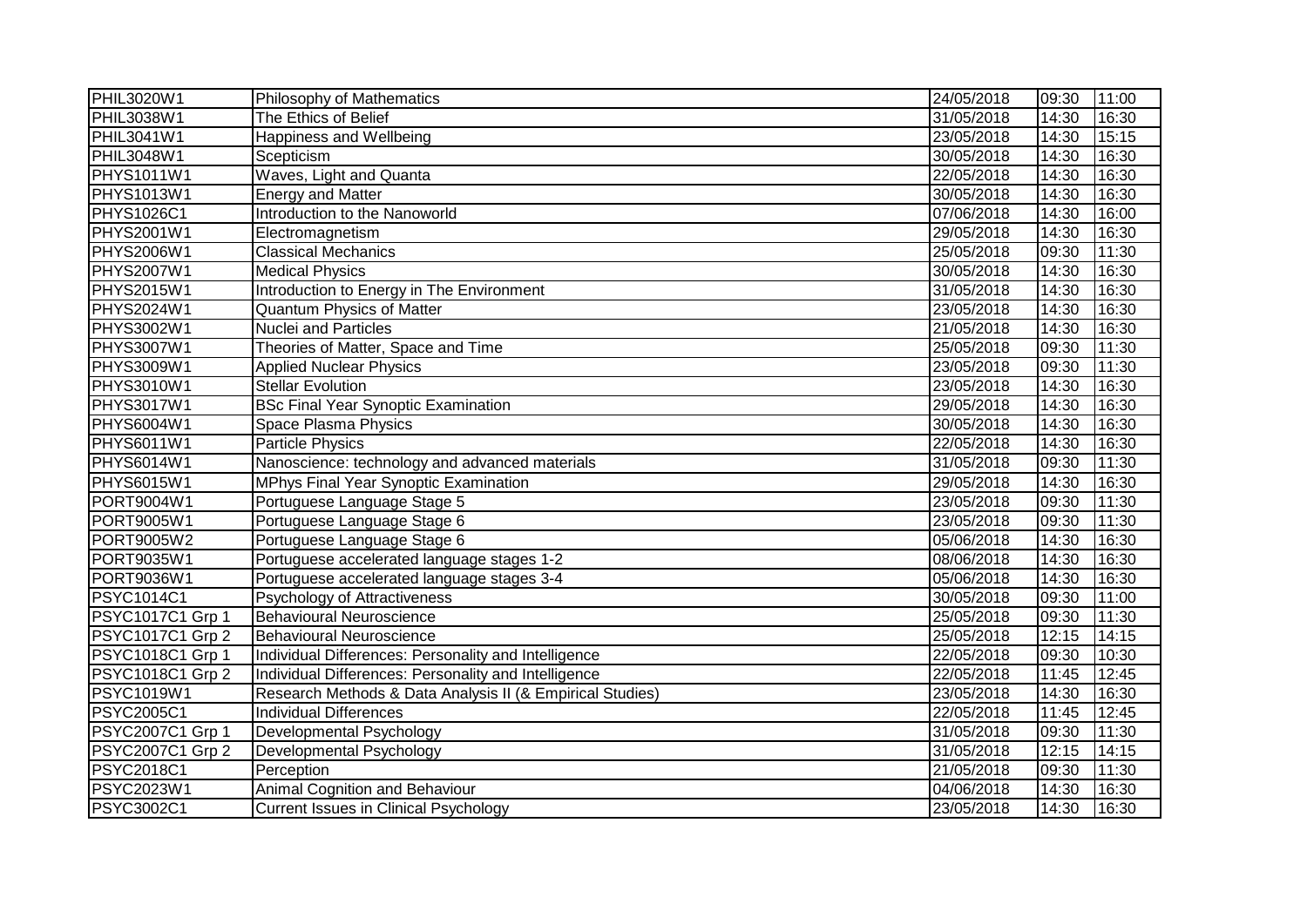| PHIL3020W1              | Philosophy of Mathematics                                 | 24/05/2018 | 09:30 | 11:00 |
|-------------------------|-----------------------------------------------------------|------------|-------|-------|
| PHIL3038W1              | The Ethics of Belief                                      | 31/05/2018 | 14:30 | 16:30 |
| PHIL3041W1              | Happiness and Wellbeing                                   | 23/05/2018 | 14:30 | 15:15 |
| PHIL3048W1              | Scepticism                                                | 30/05/2018 | 14:30 | 16:30 |
| PHYS1011W1              | Waves, Light and Quanta                                   | 22/05/2018 | 14:30 | 16:30 |
| <b>PHYS1013W1</b>       | <b>Energy and Matter</b>                                  | 30/05/2018 | 14:30 | 16:30 |
| <b>PHYS1026C1</b>       | Introduction to the Nanoworld                             | 07/06/2018 | 14:30 | 16:00 |
| PHYS2001W1              | Electromagnetism                                          | 29/05/2018 | 14:30 | 16:30 |
| PHYS2006W1              | <b>Classical Mechanics</b>                                | 25/05/2018 | 09:30 | 11:30 |
| PHYS2007W1              | <b>Medical Physics</b>                                    | 30/05/2018 | 14:30 | 16:30 |
| PHYS2015W1              | Introduction to Energy in The Environment                 | 31/05/2018 | 14:30 | 16:30 |
| PHYS2024W1              | <b>Quantum Physics of Matter</b>                          | 23/05/2018 | 14:30 | 16:30 |
| PHYS3002W1              | <b>Nuclei and Particles</b>                               | 21/05/2018 | 14:30 | 16:30 |
| PHYS3007W1              | Theories of Matter, Space and Time                        | 25/05/2018 | 09:30 | 11:30 |
| PHYS3009W1              | <b>Applied Nuclear Physics</b>                            | 23/05/2018 | 09:30 | 11:30 |
| PHYS3010W1              | <b>Stellar Evolution</b>                                  | 23/05/2018 | 14:30 | 16:30 |
| PHYS3017W1              | <b>BSc Final Year Synoptic Examination</b>                | 29/05/2018 | 14:30 | 16:30 |
| PHYS6004W1              | Space Plasma Physics                                      | 30/05/2018 | 14:30 | 16:30 |
| PHYS6011W1              | <b>Particle Physics</b>                                   | 22/05/2018 | 14:30 | 16:30 |
| PHYS6014W1              | Nanoscience: technology and advanced materials            | 31/05/2018 | 09:30 | 11:30 |
| PHYS6015W1              | MPhys Final Year Synoptic Examination                     | 29/05/2018 | 14:30 | 16:30 |
| PORT9004W1              | Portuguese Language Stage 5                               | 23/05/2018 | 09:30 | 11:30 |
| PORT9005W1              | Portuguese Language Stage 6                               | 23/05/2018 | 09:30 | 11:30 |
| PORT9005W2              | Portuguese Language Stage 6                               | 05/06/2018 | 14:30 | 16:30 |
| PORT9035W1              | Portuguese accelerated language stages 1-2                | 08/06/2018 | 14:30 | 16:30 |
| PORT9036W1              | Portuguese accelerated language stages 3-4                | 05/06/2018 | 14:30 | 16:30 |
| PSYC1014C1              | Psychology of Attractiveness                              | 30/05/2018 | 09:30 | 11:00 |
| PSYC1017C1 Grp 1        | <b>Behavioural Neuroscience</b>                           | 25/05/2018 | 09:30 | 11:30 |
| PSYC1017C1 Grp 2        | <b>Behavioural Neuroscience</b>                           | 25/05/2018 | 12:15 | 14:15 |
| PSYC1018C1 Grp 1        | Individual Differences: Personality and Intelligence      | 22/05/2018 | 09:30 | 10:30 |
| PSYC1018C1 Grp 2        | Individual Differences: Personality and Intelligence      | 22/05/2018 | 11:45 | 12:45 |
| PSYC1019W1              | Research Methods & Data Analysis II (& Empirical Studies) | 23/05/2018 | 14:30 | 16:30 |
| <b>PSYC2005C1</b>       | <b>Individual Differences</b>                             | 22/05/2018 | 11:45 | 12:45 |
| PSYC2007C1 Grp 1        | Developmental Psychology                                  | 31/05/2018 | 09:30 | 11:30 |
| <b>PSYC2007C1 Grp 2</b> | Developmental Psychology                                  | 31/05/2018 | 12:15 | 14:15 |
| <b>PSYC2018C1</b>       | Perception                                                | 21/05/2018 | 09:30 | 11:30 |
| PSYC2023W1              | <b>Animal Cognition and Behaviour</b>                     | 04/06/2018 | 14:30 | 16:30 |
| PSYC3002C1              | <b>Current Issues in Clinical Psychology</b>              | 23/05/2018 | 14:30 | 16:30 |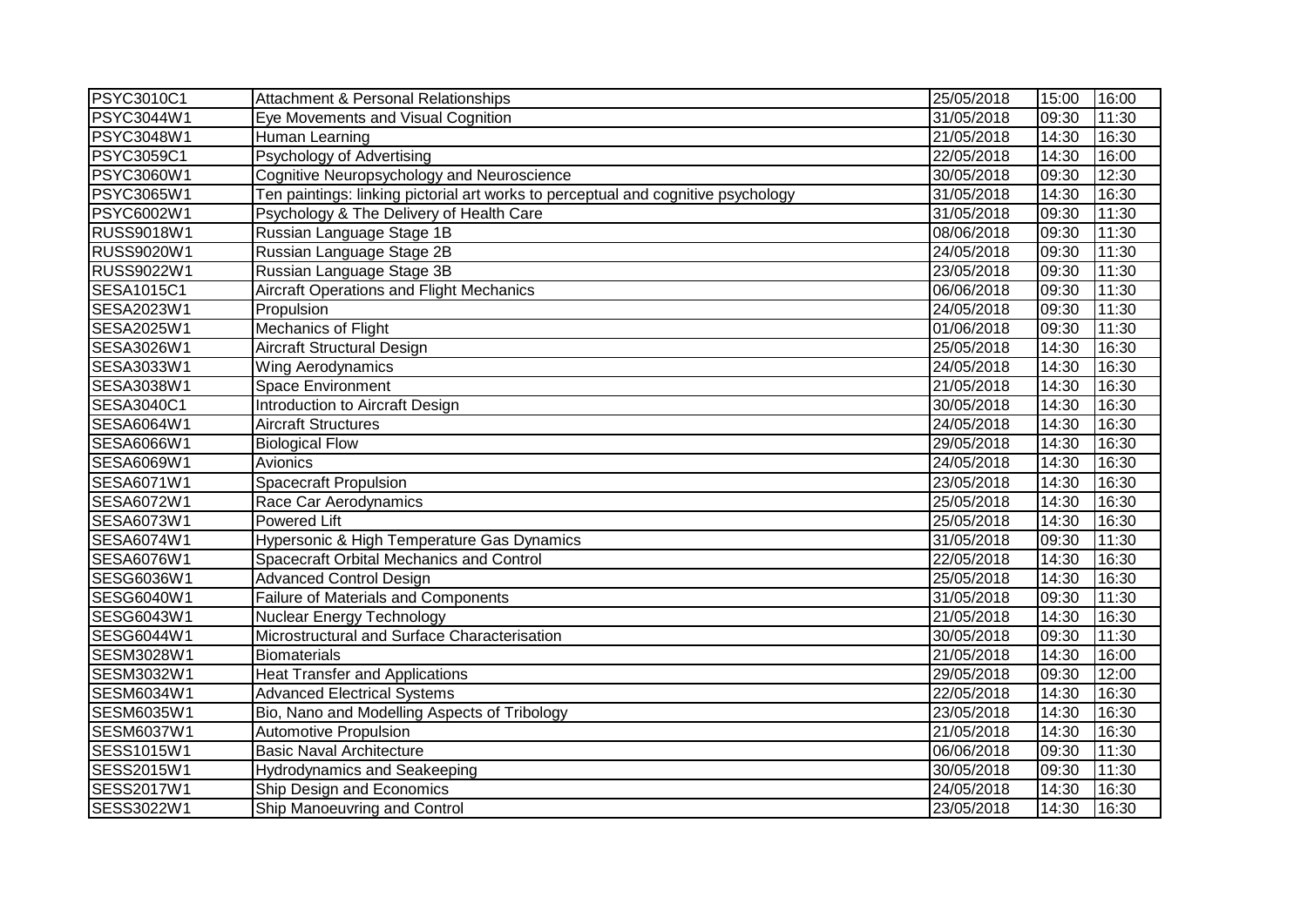| <b>PSYC3010C1</b> | <b>Attachment &amp; Personal Relationships</b>                                    | 25/05/2018 | 15:00 | 16:00 |
|-------------------|-----------------------------------------------------------------------------------|------------|-------|-------|
| PSYC3044W1        | Eye Movements and Visual Cognition                                                | 31/05/2018 | 09:30 | 11:30 |
| PSYC3048W1        | Human Learning                                                                    | 21/05/2018 | 14:30 | 16:30 |
| PSYC3059C1        | <b>Psychology of Advertising</b>                                                  | 22/05/2018 | 14:30 | 16:00 |
| PSYC3060W1        | Cognitive Neuropsychology and Neuroscience                                        | 30/05/2018 | 09:30 | 12:30 |
| PSYC3065W1        | Ten paintings: linking pictorial art works to perceptual and cognitive psychology | 31/05/2018 | 14:30 | 16:30 |
| PSYC6002W1        | Psychology & The Delivery of Health Care                                          | 31/05/2018 | 09:30 | 11:30 |
| RUSS9018W1        | Russian Language Stage 1B                                                         | 08/06/2018 | 09:30 | 11:30 |
| RUSS9020W1        | Russian Language Stage 2B                                                         | 24/05/2018 | 09:30 | 11:30 |
| RUSS9022W1        | Russian Language Stage 3B                                                         | 23/05/2018 | 09:30 | 11:30 |
| SESA1015C1        | <b>Aircraft Operations and Flight Mechanics</b>                                   | 06/06/2018 | 09:30 | 11:30 |
| SESA2023W1        | Propulsion                                                                        | 24/05/2018 | 09:30 | 11:30 |
| SESA2025W1        | Mechanics of Flight                                                               | 01/06/2018 | 09:30 | 11:30 |
| SESA3026W1        | <b>Aircraft Structural Design</b>                                                 | 25/05/2018 | 14:30 | 16:30 |
| SESA3033W1        | <b>Wing Aerodynamics</b>                                                          | 24/05/2018 | 14:30 | 16:30 |
| SESA3038W1        | <b>Space Environment</b>                                                          | 21/05/2018 | 14:30 | 16:30 |
| SESA3040C1        | Introduction to Aircraft Design                                                   | 30/05/2018 | 14:30 | 16:30 |
| SESA6064W1        | <b>Aircraft Structures</b>                                                        | 24/05/2018 | 14:30 | 16:30 |
| <b>SESA6066W1</b> | <b>Biological Flow</b>                                                            | 29/05/2018 | 14:30 | 16:30 |
| SESA6069W1        | Avionics                                                                          | 24/05/2018 | 14:30 | 16:30 |
| SESA6071W1        | <b>Spacecraft Propulsion</b>                                                      | 23/05/2018 | 14:30 | 16:30 |
| SESA6072W1        | Race Car Aerodynamics                                                             | 25/05/2018 | 14:30 | 16:30 |
| SESA6073W1        | <b>Powered Lift</b>                                                               | 25/05/2018 | 14:30 | 16:30 |
| SESA6074W1        | Hypersonic & High Temperature Gas Dynamics                                        | 31/05/2018 | 09:30 | 11:30 |
| <b>SESA6076W1</b> | Spacecraft Orbital Mechanics and Control                                          | 22/05/2018 | 14:30 | 16:30 |
| SESG6036W1        | Advanced Control Design                                                           | 25/05/2018 | 14:30 | 16:30 |
| SESG6040W1        | <b>Failure of Materials and Components</b>                                        | 31/05/2018 | 09:30 | 11:30 |
| SESG6043W1        | Nuclear Energy Technology                                                         | 21/05/2018 | 14:30 | 16:30 |
| SESG6044W1        | Microstructural and Surface Characterisation                                      | 30/05/2018 | 09:30 | 11:30 |
| SESM3028W1        | <b>Biomaterials</b>                                                               | 21/05/2018 | 14:30 | 16:00 |
| SESM3032W1        | <b>Heat Transfer and Applications</b>                                             | 29/05/2018 | 09:30 | 12:00 |
| SESM6034W1        | <b>Advanced Electrical Systems</b>                                                | 22/05/2018 | 14:30 | 16:30 |
| SESM6035W1        | Bio, Nano and Modelling Aspects of Tribology                                      | 23/05/2018 | 14:30 | 16:30 |
| <b>SESM6037W1</b> | <b>Automotive Propulsion</b>                                                      | 21/05/2018 | 14:30 | 16:30 |
| SESS1015W1        | <b>Basic Naval Architecture</b>                                                   | 06/06/2018 | 09:30 | 11:30 |
| SESS2015W1        | <b>Hydrodynamics and Seakeeping</b>                                               | 30/05/2018 | 09:30 | 11:30 |
| SESS2017W1        | Ship Design and Economics                                                         | 24/05/2018 | 14:30 | 16:30 |
| SESS3022W1        | Ship Manoeuvring and Control                                                      | 23/05/2018 | 14:30 | 16:30 |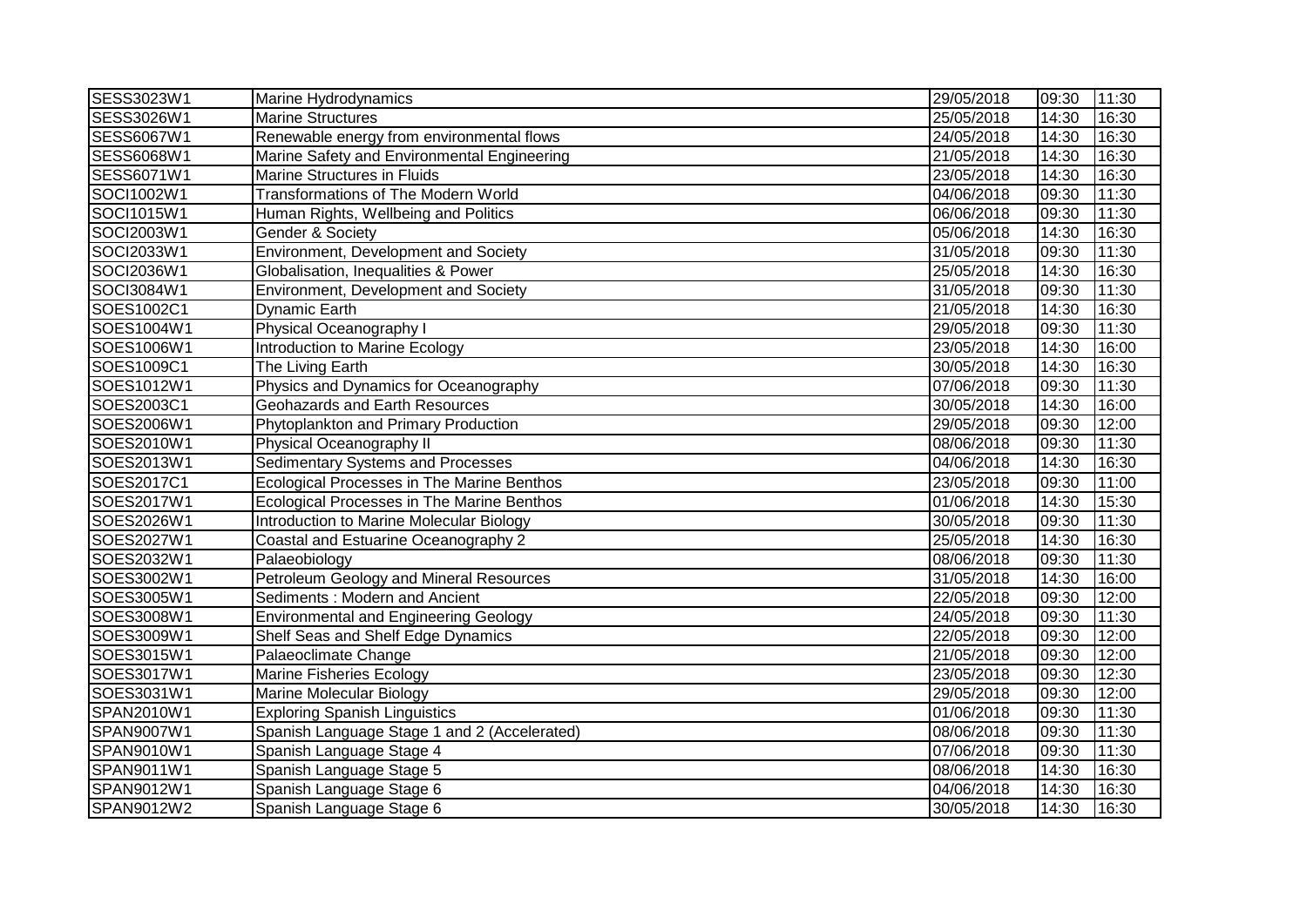| SESS3023W1        | Marine Hydrodynamics                              | 29/05/2018 | 09:30 | 11:30 |
|-------------------|---------------------------------------------------|------------|-------|-------|
| SESS3026W1        | <b>Marine Structures</b>                          | 25/05/2018 | 14:30 | 16:30 |
| <b>SESS6067W1</b> | Renewable energy from environmental flows         | 24/05/2018 | 14:30 | 16:30 |
| SESS6068W1        | Marine Safety and Environmental Engineering       | 21/05/2018 | 14:30 | 16:30 |
| SESS6071W1        | <b>Marine Structures in Fluids</b>                | 23/05/2018 | 14:30 | 16:30 |
| SOCI1002W1        | <b>Transformations of The Modern World</b>        | 04/06/2018 | 09:30 | 11:30 |
| SOCI1015W1        | Human Rights, Wellbeing and Politics              | 06/06/2018 | 09:30 | 11:30 |
| SOCI2003W1        | Gender & Society                                  | 05/06/2018 | 14:30 | 16:30 |
| SOCI2033W1        | Environment, Development and Society              | 31/05/2018 | 09:30 | 11:30 |
| SOCI2036W1        | Globalisation, Inequalities & Power               | 25/05/2018 | 14:30 | 16:30 |
| SOCI3084W1        | Environment, Development and Society              | 31/05/2018 | 09:30 | 11:30 |
| SOES1002C1        | <b>Dynamic Earth</b>                              | 21/05/2018 | 14:30 | 16:30 |
| SOES1004W1        | Physical Oceanography I                           | 29/05/2018 | 09:30 | 11:30 |
| SOES1006W1        | Introduction to Marine Ecology                    | 23/05/2018 | 14:30 | 16:00 |
| SOES1009C1        | The Living Earth                                  | 30/05/2018 | 14:30 | 16:30 |
| SOES1012W1        | Physics and Dynamics for Oceanography             | 07/06/2018 | 09:30 | 11:30 |
| SOES2003C1        | Geohazards and Earth Resources                    | 30/05/2018 | 14:30 | 16:00 |
| SOES2006W1        | Phytoplankton and Primary Production              | 29/05/2018 | 09:30 | 12:00 |
| SOES2010W1        | Physical Oceanography II                          | 08/06/2018 | 09:30 | 11:30 |
| SOES2013W1        | Sedimentary Systems and Processes                 | 04/06/2018 | 14:30 | 16:30 |
| SOES2017C1        | Ecological Processes in The Marine Benthos        | 23/05/2018 | 09:30 | 11:00 |
| SOES2017W1        | <b>Ecological Processes in The Marine Benthos</b> | 01/06/2018 | 14:30 | 15:30 |
| SOES2026W1        | Introduction to Marine Molecular Biology          | 30/05/2018 | 09:30 | 11:30 |
| SOES2027W1        | Coastal and Estuarine Oceanography 2              | 25/05/2018 | 14:30 | 16:30 |
| SOES2032W1        | Palaeobiology                                     | 08/06/2018 | 09:30 | 11:30 |
| SOES3002W1        | <b>Petroleum Geology and Mineral Resources</b>    | 31/05/2018 | 14:30 | 16:00 |
| SOES3005W1        | Sediments: Modern and Ancient                     | 22/05/2018 | 09:30 | 12:00 |
| SOES3008W1        | <b>Environmental and Engineering Geology</b>      | 24/05/2018 | 09:30 | 11:30 |
| SOES3009W1        | Shelf Seas and Shelf Edge Dynamics                | 22/05/2018 | 09:30 | 12:00 |
| SOES3015W1        | Palaeoclimate Change                              | 21/05/2018 | 09:30 | 12:00 |
| SOES3017W1        | <b>Marine Fisheries Ecology</b>                   | 23/05/2018 | 09:30 | 12:30 |
| SOES3031W1        | <b>Marine Molecular Biology</b>                   | 29/05/2018 | 09:30 | 12:00 |
| SPAN2010W1        | <b>Exploring Spanish Linguistics</b>              | 01/06/2018 | 09:30 | 11:30 |
| SPAN9007W1        | Spanish Language Stage 1 and 2 (Accelerated)      | 08/06/2018 | 09:30 | 11:30 |
| SPAN9010W1        | Spanish Language Stage 4                          | 07/06/2018 | 09:30 | 11:30 |
| SPAN9011W1        | Spanish Language Stage 5                          | 08/06/2018 | 14:30 | 16:30 |
| SPAN9012W1        | Spanish Language Stage 6                          | 04/06/2018 | 14:30 | 16:30 |
| SPAN9012W2        | Spanish Language Stage 6                          | 30/05/2018 | 14:30 | 16:30 |